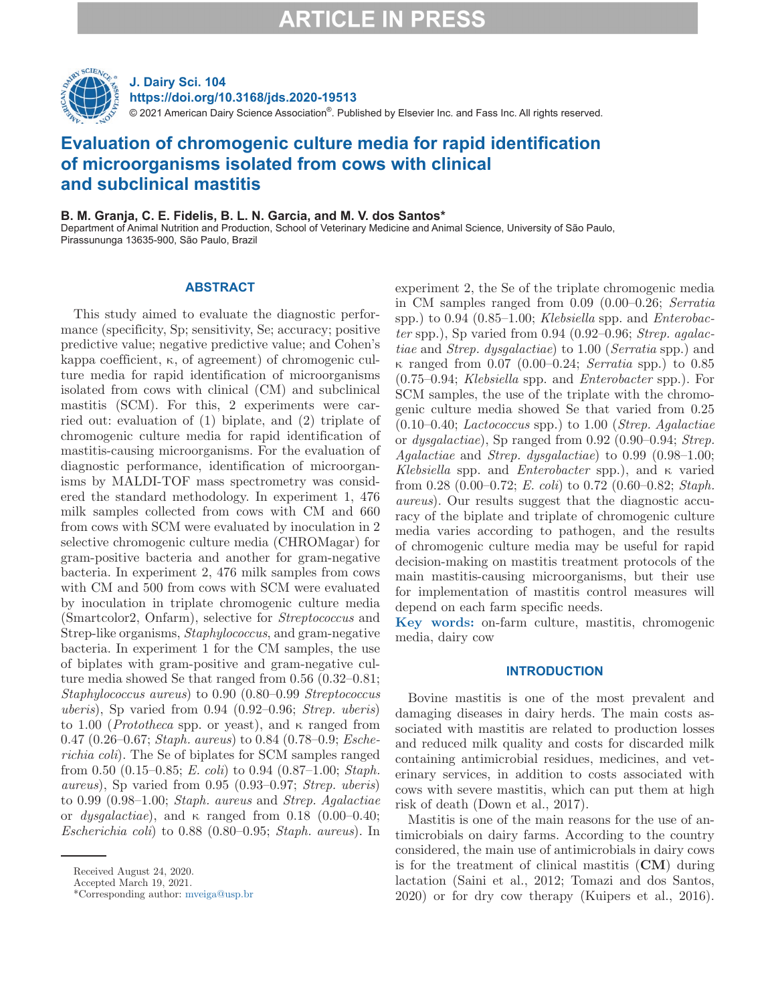

**J. Dairy Sci. 104 https://doi.org/10.3168/jds.2020-19513**

© 2021 American Dairy Science Association®. Published by Elsevier Inc. and Fass Inc. All rights reserved.

## **Evaluation of chromogenic culture media for rapid identification of microorganisms isolated from cows with clinical and subclinical mastitis**

### **B. M. Granja, C. E. Fidelis, B. L. N. Garcia, and M. V. dos Santos\***

Department of Animal Nutrition and Production, School of Veterinary Medicine and Animal Science, University of São Paulo, Pirassununga 13635-900, São Paulo, Brazil

### **ABSTRACT**

This study aimed to evaluate the diagnostic performance (specificity, Sp; sensitivity, Se; accuracy; positive predictive value; negative predictive value; and Cohen's kappa coefficient, κ, of agreement) of chromogenic culture media for rapid identification of microorganisms isolated from cows with clinical (CM) and subclinical mastitis (SCM). For this, 2 experiments were carried out: evaluation of (1) biplate, and (2) triplate of chromogenic culture media for rapid identification of mastitis-causing microorganisms. For the evaluation of diagnostic performance, identification of microorganisms by MALDI-TOF mass spectrometry was considered the standard methodology. In experiment 1, 476 milk samples collected from cows with CM and 660 from cows with SCM were evaluated by inoculation in 2 selective chromogenic culture media (CHROMagar) for gram-positive bacteria and another for gram-negative bacteria. In experiment 2, 476 milk samples from cows with CM and 500 from cows with SCM were evaluated by inoculation in triplate chromogenic culture media (Smartcolor2, Onfarm), selective for *Streptococcus* and Strep-like organisms, *Staphylococcus*, and gram-negative bacteria. In experiment 1 for the CM samples, the use of biplates with gram-positive and gram-negative culture media showed Se that ranged from 0.56 (0.32–0.81; *Staphylococcus aureus*) to 0.90 (0.80–0.99 *Streptococcus uberis*), Sp varied from 0.94 (0.92–0.96; *Strep. uberis*) to 1.00 (*Prototheca* spp. or yeast), and κ ranged from 0.47 (0.26–0.67; *Staph. aureus*) to 0.84 (0.78–0.9; *Escherichia coli*). The Se of biplates for SCM samples ranged from 0.50 (0.15–0.85; *E. coli*) to 0.94 (0.87–1.00; *Staph. aureus*), Sp varied from 0.95 (0.93–0.97; *Strep. uberis*) to 0.99 (0.98–1.00; *Staph. aureus* and *Strep. Agalactiae* or *dysgalactiae*), and  $\kappa$  ranged from 0.18 (0.00–0.40; *Escherichia coli*) to 0.88 (0.80–0.95; *Staph. aureus*). In

experiment 2, the Se of the triplate chromogenic media in CM samples ranged from 0.09 (0.00–0.26; *Serratia* spp.) to 0.94 (0.85–1.00; *Klebsiella* spp. and *Enterobacter* spp.), Sp varied from 0.94 (0.92–0.96; *Strep. agalactiae* and *Strep. dysgalactiae*) to 1.00 (*Serratia* spp.) and κ ranged from 0.07 (0.00–0.24; *Serratia* spp.) to 0.85 (0.75–0.94; *Klebsiella* spp. and *Enterobacter* spp.). For SCM samples, the use of the triplate with the chromogenic culture media showed Se that varied from 0.25 (0.10–0.40; *Lactococcus* spp.) to 1.00 (*Strep. Agalactiae* or *dysgalactiae*), Sp ranged from 0.92 (0.90–0.94; *Strep. Agalactiae* and *Strep. dysgalactiae*) to 0.99 (0.98–1.00; *Klebsiella* spp. and *Enterobacter* spp.), and κ varied from 0.28 (0.00–0.72; *E. coli*) to 0.72 (0.60–0.82; *Staph. aureus*). Our results suggest that the diagnostic accuracy of the biplate and triplate of chromogenic culture media varies according to pathogen, and the results of chromogenic culture media may be useful for rapid decision-making on mastitis treatment protocols of the main mastitis-causing microorganisms, but their use for implementation of mastitis control measures will depend on each farm specific needs.

**Key words:** on-farm culture, mastitis, chromogenic media, dairy cow

### **INTRODUCTION**

Bovine mastitis is one of the most prevalent and damaging diseases in dairy herds. The main costs associated with mastitis are related to production losses and reduced milk quality and costs for discarded milk containing antimicrobial residues, medicines, and veterinary services, in addition to costs associated with cows with severe mastitis, which can put them at high risk of death (Down et al., 2017).

Mastitis is one of the main reasons for the use of antimicrobials on dairy farms. According to the country considered, the main use of antimicrobials in dairy cows is for the treatment of clinical mastitis (**CM**) during lactation (Saini et al., 2012; Tomazi and dos Santos, 2020) or for dry cow therapy (Kuipers et al., 2016).

Received August 24, 2020.

Accepted March 19, 2021.

<sup>\*</sup>Corresponding author: [mveiga@usp.br](mailto:mveiga@usp.br)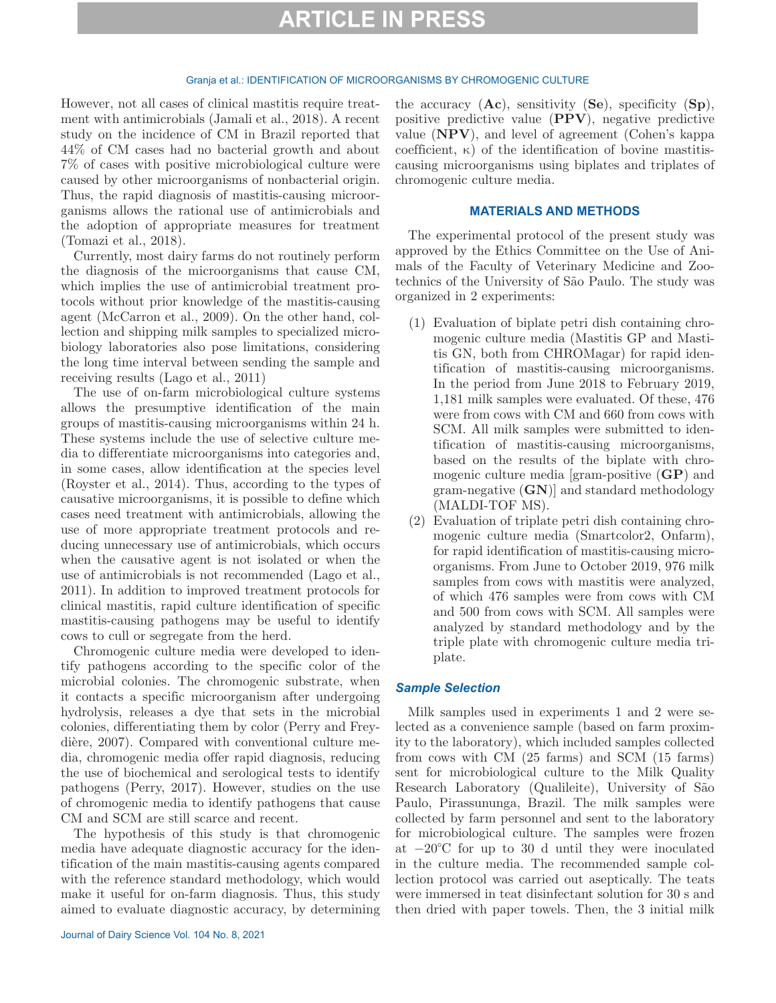#### Granja et al.: IDENTIFICATION OF MICROORGANISMS BY CHROMOGENIC CULTURE

However, not all cases of clinical mastitis require treatment with antimicrobials (Jamali et al., 2018). A recent study on the incidence of CM in Brazil reported that 44% of CM cases had no bacterial growth and about 7% of cases with positive microbiological culture were caused by other microorganisms of nonbacterial origin. Thus, the rapid diagnosis of mastitis-causing microorganisms allows the rational use of antimicrobials and the adoption of appropriate measures for treatment (Tomazi et al., 2018).

Currently, most dairy farms do not routinely perform the diagnosis of the microorganisms that cause CM, which implies the use of antimicrobial treatment protocols without prior knowledge of the mastitis-causing agent (McCarron et al., 2009). On the other hand, collection and shipping milk samples to specialized microbiology laboratories also pose limitations, considering the long time interval between sending the sample and receiving results (Lago et al., 2011)

The use of on-farm microbiological culture systems allows the presumptive identification of the main groups of mastitis-causing microorganisms within 24 h. These systems include the use of selective culture media to differentiate microorganisms into categories and, in some cases, allow identification at the species level (Royster et al., 2014). Thus, according to the types of causative microorganisms, it is possible to define which cases need treatment with antimicrobials, allowing the use of more appropriate treatment protocols and reducing unnecessary use of antimicrobials, which occurs when the causative agent is not isolated or when the use of antimicrobials is not recommended (Lago et al., 2011). In addition to improved treatment protocols for clinical mastitis, rapid culture identification of specific mastitis-causing pathogens may be useful to identify cows to cull or segregate from the herd.

Chromogenic culture media were developed to identify pathogens according to the specific color of the microbial colonies. The chromogenic substrate, when it contacts a specific microorganism after undergoing hydrolysis, releases a dye that sets in the microbial colonies, differentiating them by color (Perry and Freydière, 2007). Compared with conventional culture media, chromogenic media offer rapid diagnosis, reducing the use of biochemical and serological tests to identify pathogens (Perry, 2017). However, studies on the use of chromogenic media to identify pathogens that cause CM and SCM are still scarce and recent.

The hypothesis of this study is that chromogenic media have adequate diagnostic accuracy for the identification of the main mastitis-causing agents compared with the reference standard methodology, which would make it useful for on-farm diagnosis. Thus, this study aimed to evaluate diagnostic accuracy, by determining the accuracy (**Ac**), sensitivity (**Se**), specificity (**Sp**), positive predictive value (**PPV**), negative predictive value (**NPV**), and level of agreement (Cohen's kappa coefficient, κ) of the identification of bovine mastitiscausing microorganisms using biplates and triplates of chromogenic culture media.

### **MATERIALS AND METHODS**

The experimental protocol of the present study was approved by the Ethics Committee on the Use of Animals of the Faculty of Veterinary Medicine and Zootechnics of the University of São Paulo. The study was organized in 2 experiments:

- (1) Evaluation of biplate petri dish containing chromogenic culture media (Mastitis GP and Mastitis GN, both from CHROMagar) for rapid identification of mastitis-causing microorganisms. In the period from June 2018 to February 2019, 1,181 milk samples were evaluated. Of these, 476 were from cows with CM and 660 from cows with SCM. All milk samples were submitted to identification of mastitis-causing microorganisms, based on the results of the biplate with chromogenic culture media [gram-positive (**GP**) and gram-negative (**GN**)] and standard methodology (MALDI-TOF MS).
- (2) Evaluation of triplate petri dish containing chromogenic culture media (Smartcolor2, Onfarm), for rapid identification of mastitis-causing microorganisms. From June to October 2019, 976 milk samples from cows with mastitis were analyzed, of which 476 samples were from cows with CM and 500 from cows with SCM. All samples were analyzed by standard methodology and by the triple plate with chromogenic culture media triplate.

### *Sample Selection*

Milk samples used in experiments 1 and 2 were selected as a convenience sample (based on farm proximity to the laboratory), which included samples collected from cows with CM (25 farms) and SCM (15 farms) sent for microbiological culture to the Milk Quality Research Laboratory (Qualileite), University of São Paulo, Pirassununga, Brazil. The milk samples were collected by farm personnel and sent to the laboratory for microbiological culture. The samples were frozen at −20°C for up to 30 d until they were inoculated in the culture media. The recommended sample collection protocol was carried out aseptically. The teats were immersed in teat disinfectant solution for 30 s and then dried with paper towels. Then, the 3 initial milk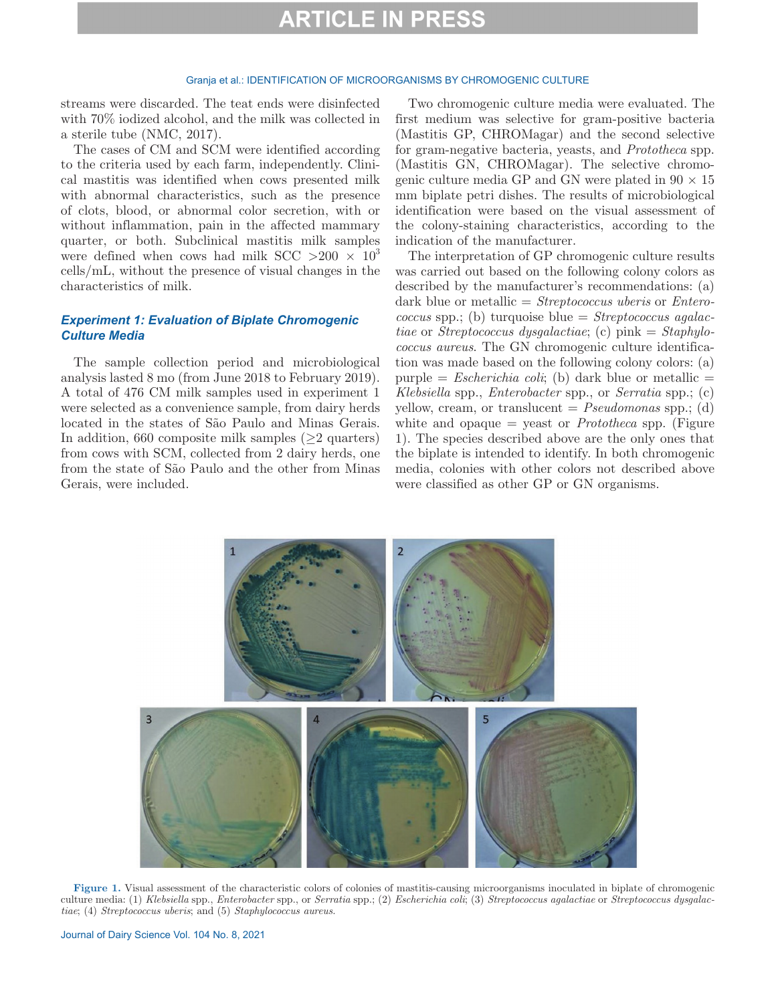#### Granja et al.: IDENTIFICATION OF MICROORGANISMS BY CHROMOGENIC CULTURE

streams were discarded. The teat ends were disinfected with 70% iodized alcohol, and the milk was collected in a sterile tube (NMC, 2017).

The cases of CM and SCM were identified according to the criteria used by each farm, independently. Clinical mastitis was identified when cows presented milk with abnormal characteristics, such as the presence of clots, blood, or abnormal color secretion, with or without inflammation, pain in the affected mammary quarter, or both. Subclinical mastitis milk samples were defined when cows had milk SCC  $>200 \times 10^{3}$ cells/mL, without the presence of visual changes in the characteristics of milk.

## *Experiment 1: Evaluation of Biplate Chromogenic Culture Media*

The sample collection period and microbiological analysis lasted 8 mo (from June 2018 to February 2019). A total of 476 CM milk samples used in experiment 1 were selected as a convenience sample, from dairy herds located in the states of São Paulo and Minas Gerais. In addition, 660 composite milk samples  $(\geq 2$  quarters) from cows with SCM, collected from 2 dairy herds, one from the state of São Paulo and the other from Minas Gerais, were included.

Two chromogenic culture media were evaluated. The first medium was selective for gram-positive bacteria (Mastitis GP, CHROMagar) and the second selective for gram-negative bacteria, yeasts, and *Prototheca* spp. (Mastitis GN, CHROMagar). The selective chromogenic culture media GP and GN were plated in  $90 \times 15$ mm biplate petri dishes. The results of microbiological identification were based on the visual assessment of the colony-staining characteristics, according to the indication of the manufacturer.

The interpretation of GP chromogenic culture results was carried out based on the following colony colors as described by the manufacturer's recommendations: (a) dark blue or metallic = *Streptococcus uberis* or *Enterococcus* spp.; (b) turquoise blue = *Streptococcus agalactiae* or *Streptococcus dysgalactiae*; (c) pink = *Staphylococcus aureus*. The GN chromogenic culture identification was made based on the following colony colors: (a) purple  $=$  *Escherichia coli*; (b) dark blue or metallic  $=$ *Klebsiella* spp., *Enterobacter* spp., or *Serratia* spp.; (c) yellow, cream, or translucent = *Pseudomonas* spp.; (d) white and opaque = yeast or *Prototheca* spp. (Figure 1). The species described above are the only ones that the biplate is intended to identify. In both chromogenic media, colonies with other colors not described above were classified as other GP or GN organisms.



**Figure 1.** Visual assessment of the characteristic colors of colonies of mastitis-causing microorganisms inoculated in biplate of chromogenic culture media: (1) *Klebsiella* spp., *Enterobacter* spp., or *Serratia* spp.; (2) *Escherichia coli*; (3) *Streptococcus agalactiae* or *Streptococcus dysgalactiae*; (4) *Streptococcus uberis*; and (5) *Staphylococcus aureus*.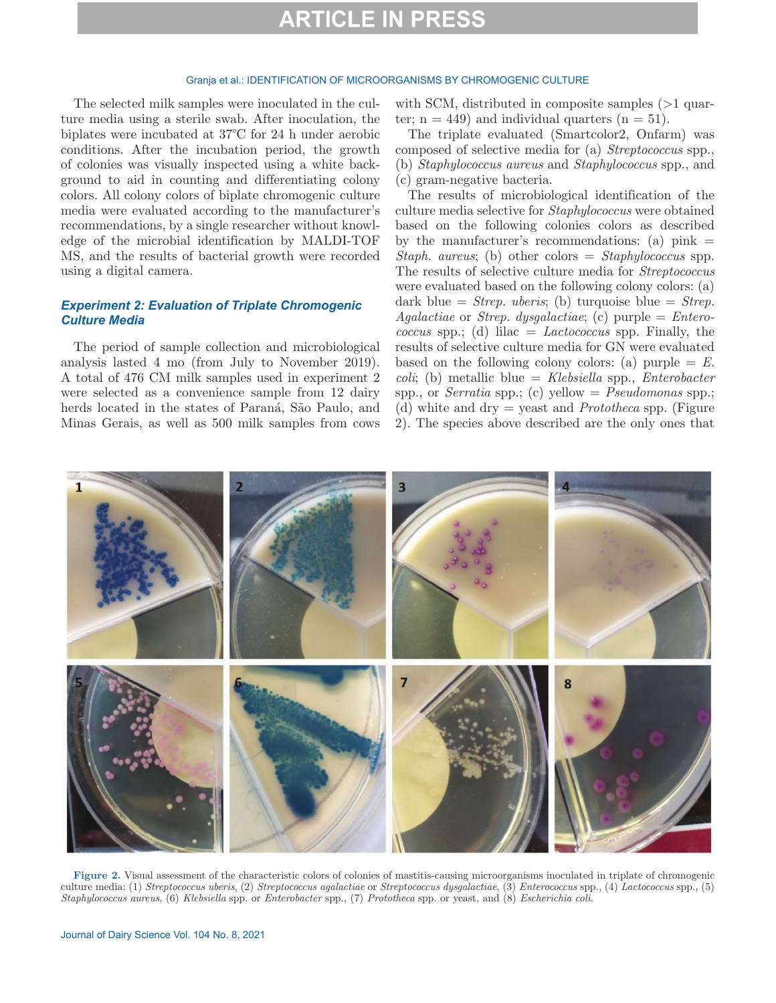#### Granja et al.: IDENTIFICATION OF MICROORGANISMS BY CHROMOGENIC CULTURE

The selected milk samples were inoculated in the culture media using a sterile swab. After inoculation, the biplates were incubated at 37°C for 24 h under aerobic conditions. After the incubation period, the growth of colonies was visually inspected using a white background to aid in counting and differentiating colony colors. All colony colors of biplate chromogenic culture media were evaluated according to the manufacturer's recommendations, by a single researcher without knowledge of the microbial identification by MALDI-TOF MS, and the results of bacterial growth were recorded using a digital camera.

## *Experiment 2: Evaluation of Triplate Chromogenic Culture Media*

The period of sample collection and microbiological analysis lasted 4 mo (from July to November 2019). A total of 476 CM milk samples used in experiment 2 were selected as a convenience sample from 12 dairy herds located in the states of Paraná, São Paulo, and Minas Gerais, as well as 500 milk samples from cows with SCM, distributed in composite samples ( $>1$  quarter;  $n = 449$ ) and individual quarters  $(n = 51)$ .

The triplate evaluated (Smartcolor2, Onfarm) was composed of selective media for (a) *Streptococcus* spp., (b) *Staphylococcus aureus* and *Staphylococcus* spp., and (c) gram-negative bacteria.

The results of microbiological identification of the culture media selective for *Staphylococcus* were obtained based on the following colonies colors as described by the manufacturer's recommendations: (a)  $\text{pink} =$ *Staph. aureus*; (b) other colors = *Staphylococcus* spp. The results of selective culture media for *Streptococcus* were evaluated based on the following colony colors: (a) dark blue = *Strep. uberis*; (b) turquoise blue = *Strep. Agalactiae* or *Strep. dysgalactiae*; (c) purple = *Enterococcus* spp.; (d) lilac = *Lactococcus* spp. Finally, the results of selective culture media for GN were evaluated based on the following colony colors: (a) purple  $= E$ . *coli*; (b) metallic blue = *Klebsiella* spp., *Enterobacter* spp., or *Serratia* spp.; (c) yellow = *Pseudomonas* spp.; (d) white and dry = yeast and *Prototheca* spp. (Figure 2). The species above described are the only ones that



**Figure 2.** Visual assessment of the characteristic colors of colonies of mastitis-causing microorganisms inoculated in triplate of chromogenic culture media: (1) *Streptococcus uberis*, (2) *Streptococcus agalactiae* or *Streptococcus dysgalactiae*, (3) *Enterococcus* spp., (4) *Lactococcus* spp., (5) *Staphylococcus aureus*, (6) *Klebsiella* spp. or *Enterobacter* spp., (7) *Prototheca* spp. or yeast, and (8) *Escherichia coli*.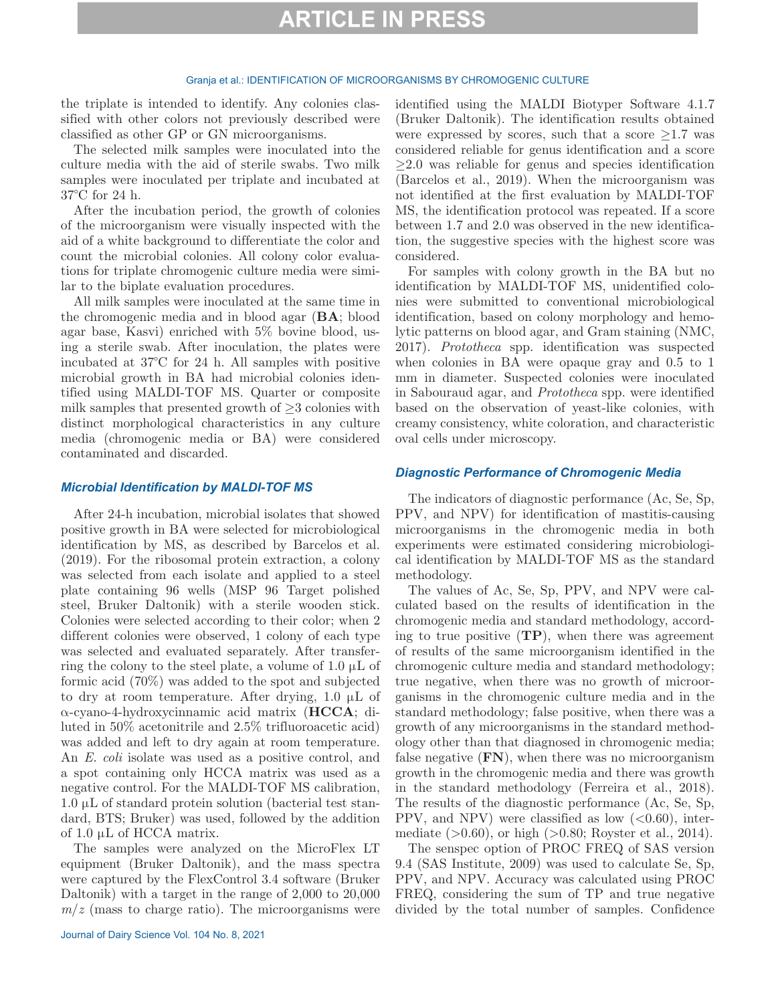#### Granja et al.: IDENTIFICATION OF MICROORGANISMS BY CHROMOGENIC CULTURE

the triplate is intended to identify. Any colonies classified with other colors not previously described were classified as other GP or GN microorganisms.

The selected milk samples were inoculated into the culture media with the aid of sterile swabs. Two milk samples were inoculated per triplate and incubated at 37°C for 24 h.

After the incubation period, the growth of colonies of the microorganism were visually inspected with the aid of a white background to differentiate the color and count the microbial colonies. All colony color evaluations for triplate chromogenic culture media were similar to the biplate evaluation procedures.

All milk samples were inoculated at the same time in the chromogenic media and in blood agar (**BA**; blood agar base, Kasvi) enriched with 5% bovine blood, using a sterile swab. After inoculation, the plates were incubated at 37°C for 24 h. All samples with positive microbial growth in BA had microbial colonies identified using MALDI-TOF MS. Quarter or composite milk samples that presented growth of  $\geq$ 3 colonies with distinct morphological characteristics in any culture media (chromogenic media or BA) were considered contaminated and discarded.

### *Microbial Identification by MALDI-TOF MS*

After 24-h incubation, microbial isolates that showed positive growth in BA were selected for microbiological identification by MS, as described by Barcelos et al. (2019). For the ribosomal protein extraction, a colony was selected from each isolate and applied to a steel plate containing 96 wells (MSP 96 Target polished steel, Bruker Daltonik) with a sterile wooden stick. Colonies were selected according to their color; when 2 different colonies were observed, 1 colony of each type was selected and evaluated separately. After transferring the colony to the steel plate, a volume of 1.0  $\mu$ L of formic acid (70%) was added to the spot and subjected to dry at room temperature. After drying, 1.0 μL of α-cyano-4-hydroxycinnamic acid matrix (**HCCA**; diluted in 50% acetonitrile and 2.5% trifluoroacetic acid) was added and left to dry again at room temperature. An *E. coli* isolate was used as a positive control, and a spot containing only HCCA matrix was used as a negative control. For the MALDI-TOF MS calibration, 1.0 μL of standard protein solution (bacterial test standard, BTS; Bruker) was used, followed by the addition of 1.0 μL of HCCA matrix.

The samples were analyzed on the MicroFlex LT equipment (Bruker Daltonik), and the mass spectra were captured by the FlexControl 3.4 software (Bruker Daltonik) with a target in the range of 2,000 to 20,000  $m/z$  (mass to charge ratio). The microorganisms were

Journal of Dairy Science Vol. 104 No. 8, 2021

identified using the MALDI Biotyper Software 4.1.7 (Bruker Daltonik). The identification results obtained were expressed by scores, such that a score  $\geq 1.7$  was considered reliable for genus identification and a score  $\geq$ 2.0 was reliable for genus and species identification (Barcelos et al., 2019). When the microorganism was not identified at the first evaluation by MALDI-TOF MS, the identification protocol was repeated. If a score between 1.7 and 2.0 was observed in the new identification, the suggestive species with the highest score was considered.

For samples with colony growth in the BA but no identification by MALDI-TOF MS, unidentified colonies were submitted to conventional microbiological identification, based on colony morphology and hemolytic patterns on blood agar, and Gram staining (NMC, 2017). *Prototheca* spp. identification was suspected when colonies in BA were opaque gray and 0.5 to 1 mm in diameter. Suspected colonies were inoculated in Sabouraud agar, and *Prototheca* spp. were identified based on the observation of yeast-like colonies, with creamy consistency, white coloration, and characteristic oval cells under microscopy.

### *Diagnostic Performance of Chromogenic Media*

The indicators of diagnostic performance (Ac, Se, Sp, PPV, and NPV) for identification of mastitis-causing microorganisms in the chromogenic media in both experiments were estimated considering microbiological identification by MALDI-TOF MS as the standard methodology.

The values of Ac, Se, Sp, PPV, and NPV were calculated based on the results of identification in the chromogenic media and standard methodology, according to true positive (**TP**), when there was agreement of results of the same microorganism identified in the chromogenic culture media and standard methodology; true negative, when there was no growth of microorganisms in the chromogenic culture media and in the standard methodology; false positive, when there was a growth of any microorganisms in the standard methodology other than that diagnosed in chromogenic media; false negative (**FN**), when there was no microorganism growth in the chromogenic media and there was growth in the standard methodology (Ferreira et al., 2018). The results of the diagnostic performance (Ac, Se, Sp, PPV, and NPV) were classified as low  $( $0.60$ ), inter$ mediate  $(>0.60)$ , or high  $(>0.80;$  Royster et al., 2014).

The senspec option of PROC FREQ of SAS version 9.4 (SAS Institute, 2009) was used to calculate Se, Sp, PPV, and NPV. Accuracy was calculated using PROC FREQ, considering the sum of TP and true negative divided by the total number of samples. Confidence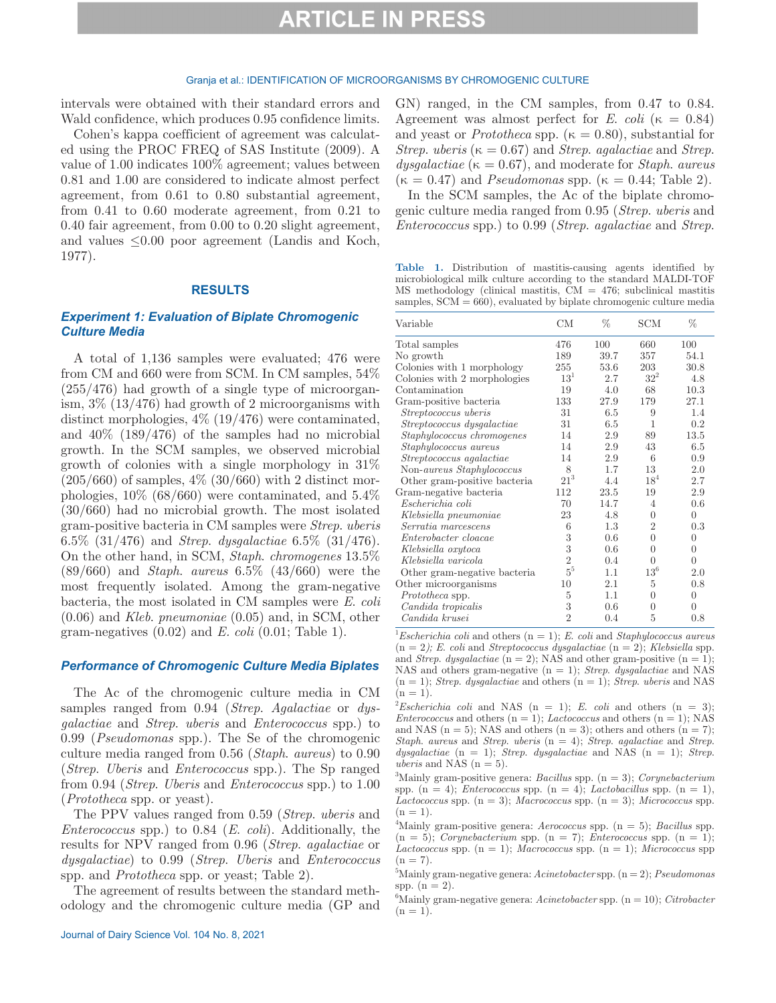### Granja et al.: IDENTIFICATION OF MICROORGANISMS BY CHROMOGENIC CULTURE

intervals were obtained with their standard errors and Wald confidence, which produces 0.95 confidence limits.

Cohen's kappa coefficient of agreement was calculated using the PROC FREQ of SAS Institute (2009). A value of 1.00 indicates 100% agreement; values between 0.81 and 1.00 are considered to indicate almost perfect agreement, from 0.61 to 0.80 substantial agreement, from 0.41 to 0.60 moderate agreement, from 0.21 to 0.40 fair agreement, from 0.00 to 0.20 slight agreement, and values  $\leq 0.00$  poor agreement (Landis and Koch, 1977).

### **RESULTS**

## *Experiment 1: Evaluation of Biplate Chromogenic Culture Media*

A total of 1,136 samples were evaluated; 476 were from CM and 660 were from SCM. In CM samples, 54% (255/476) had growth of a single type of microorganism, 3% (13/476) had growth of 2 microorganisms with distinct morphologies, 4% (19/476) were contaminated, and 40% (189/476) of the samples had no microbial growth. In the SCM samples, we observed microbial growth of colonies with a single morphology in 31%  $(205/660)$  of samples,  $4\%$   $(30/660)$  with 2 distinct morphologies,  $10\%$  (68/660) were contaminated, and  $5.4\%$ (30/660) had no microbial growth. The most isolated gram-positive bacteria in CM samples were *Strep*. *uberis* 6.5% (31/476) and *Strep*. *dysgalactiae* 6.5% (31/476). On the other hand, in SCM, *Staph*. *chromogenes* 13.5% (89/660) and *Staph*. *aureus* 6.5% (43/660) were the most frequently isolated. Among the gram-negative bacteria, the most isolated in CM samples were *E*. *coli* (0.06) and *Kleb*. *pneumoniae* (0.05) and, in SCM, other gram-negatives (0.02) and *E. coli* (0.01; Table 1).

### *Performance of Chromogenic Culture Media Biplates*

The Ac of the chromogenic culture media in CM samples ranged from 0.94 (*Strep*. *Agalactiae* or *dysgalactiae* and *Strep*. *uberis* and *Enterococcus* spp.) to 0.99 (*Pseudomonas* spp.). The Se of the chromogenic culture media ranged from 0.56 (*Staph*. *aureus*) to 0.90 (*Strep*. *Uberis* and *Enterococcus* spp.). The Sp ranged from 0.94 (*Strep*. *Uberis* and *Enterococcus* spp.) to 1.00 (*Prototheca* spp. or yeast).

The PPV values ranged from 0.59 (*Strep*. *uberis* and *Enterococcus* spp.) to 0.84 (*E*. *coli*). Additionally, the results for NPV ranged from 0.96 (*Strep*. *agalactiae* or *dysgalactiae*) to 0.99 (*Strep*. *Uberis* and *Enterococcus* spp. and *Prototheca* spp. or yeast; Table 2).

The agreement of results between the standard methodology and the chromogenic culture media (GP and GN) ranged, in the CM samples, from 0.47 to 0.84. Agreement was almost perfect for *E*. *coli* ( $\kappa = 0.84$ ) and yeast or *Prototheca* spp. ( $\kappa = 0.80$ ), substantial for *Strep. uberis* ( $\kappa = 0.67$ ) and *Strep. agalactiae* and *Strep. dysgalactiae* (κ = 0.67), and moderate for *Staph*. *aureus*  $(\kappa = 0.47)$  and *Pseudomonas* spp.  $(\kappa = 0.44; \text{Table 2}).$ 

In the SCM samples, the Ac of the biplate chromogenic culture media ranged from 0.95 (*Strep*. *uberis* and *Enterococcus* spp.) to 0.99 (*Strep*. *agalactiae* and *Strep*.

**Table 1.** Distribution of mastitis-causing agents identified by microbiological milk culture according to the standard MALDI-TOF MS methodology (clinical mastitis, CM = 476; subclinical mastitis samples,  $SCM = 660$ , evaluated by biplate chromogenic culture media

| Variable                     | <b>CM</b>      | %    | SCM             | %              |
|------------------------------|----------------|------|-----------------|----------------|
| Total samples                | 476            | 100  | 660             | 100            |
| No growth                    | 189            | 39.7 | 357             | 54.1           |
| Colonies with 1 morphology   | 255            | 53.6 | 203             | 30.8           |
| Colonies with 2 morphologies | $13^1$         | 2.7  | $32^2$          | 4.8            |
| Contamination                | 19             | 4.0  | 68              | 10.3           |
| Gram-positive bacteria       | 133            | 27.9 | 179             | 27.1           |
| <i>Streptococcus uberis</i>  | 31             | 6.5  | 9               | 1.4            |
| Streptococcus dysgalactiae   | 31             | 6.5  | 1               | 0.2            |
| Staphylococcus chromogenes   | 14             | 2.9  | 89              | 13.5           |
| Staphylococcus aureus        | 14             | 2.9  | 43              | 6.5            |
| Streptococcus agalactiae     | 14             | 2.9  | 6               | 0.9            |
| Non-aureus Staphylococcus    | 8              | 1.7  | 13              | 2.0            |
| Other gram-positive bacteria | $21^3$         | 4.4  | 18 <sup>4</sup> | 2.7            |
| Gram-negative bacteria       | 112            | 23.5 | 19              | 2.9            |
| Escherichia coli             | 70             | 14.7 | 4               | 0.6            |
| Klebsiella pneumoniae        | 23             | 4.8  | $\Omega$        | $\overline{0}$ |
| Serratia marcescens          | 6              | 1.3  | $\overline{2}$  | 0.3            |
| Enterobacter cloacae         | 3              | 0.6  | $\theta$        | $\mathbf{0}$   |
| Klebsiella oxytoca           | 3              | 0.6  | $\theta$        | $\overline{0}$ |
| Klebsiella varicola          | $\overline{2}$ | 0.4  | $\Omega$        | $\theta$       |
| Other gram-negative bacteria | $\rm 5^5$      | 1.1  | $13^6$          | 2.0            |
| Other microorganisms         | 10             | 2.1  | 5               | 0.8            |
| Prototheca spp.              | 5              | 1.1  | $\Omega$        | $\overline{0}$ |
| Candida tropicalis           | 3              | 0.6  | $\theta$        | $\theta$       |
| Candida krusei               | $\overline{2}$ | 0.4  | 5               | 0.8            |

1 *Escherichia coli* and others (n = 1); *E*. *coli* and *Staphylococcus aureus*  $(n = 2)$ ; *E. coli* and *Streptococcus dysgalactiae*  $(n = 2)$ ; *Klebsiella* spp. and *Strep. dysgalactiae*  $(n = 2)$ ; NAS and other gram-positive  $(n = 1)$ ; NAS and others gram-negative (n = 1); *Strep*. *dysgalactiae* and NAS  $(n = 1)$ ; *Strep. dysgalactiae* and others  $(n = 1)$ ; *Strep. uberis* and NAS  $(n = 1)$ .

Escherichia coli and NAS ( $n = 1$ ); *E. coli* and others ( $n = 3$ ); *Enterococcus* and others  $(n = 1)$ ; *Lactococcus* and others  $(n = 1)$ ; NAS and NAS  $(n = 5)$ ; NAS and others  $(n = 3)$ ; others and others  $(n = 7)$ ; *Staph*. *aureus* and *Strep*. *uberis* (n = 4); *Strep*. *agalactiae* and *Strep*. *dysgalactiae* (n = 1); *Strep*. *dysgalactiae* and NAS (n = 1); *Strep*. *uberis* and NAS  $(n = 5)$ .

3 Mainly gram-positive genera: *Bacillus* spp. (n = 3); *Corynebacterium* spp.  $(n = 4)$ ; *Enterococcus* spp.  $(n = 4)$ ; *Lactobacillus* spp.  $(n = 1)$ , *Lactococcus* spp.  $(n = 3)$ ; *Macrococcus* spp.  $(n = 3)$ ; *Micrococcus* spp.  $(n = 1).$ 

4 Mainly gram-positive genera: *Aerococcus* spp. (n = 5); *Bacillus* spp.  $(n = 5)$ ; *Corynebacterium* spp.  $(n = 7)$ ; *Enterococcus* spp.  $(n = 1)$ ;  $Lactococcus$  spp.  $(n = 1)$ ;  $Macrococcus$  spp.  $(n = 1)$ ; *Micrococcus* spp  $(n = 7)$ .

5 Mainly gram-negative genera: *Acinetobacter* spp. (n = 2); *Pseudomonas* spp.  $(n = 2)$ .

6 Mainly gram-negative genera: *Acinetobacter* spp. (n = 10); *Citrobacter*  $(n = 1)$ .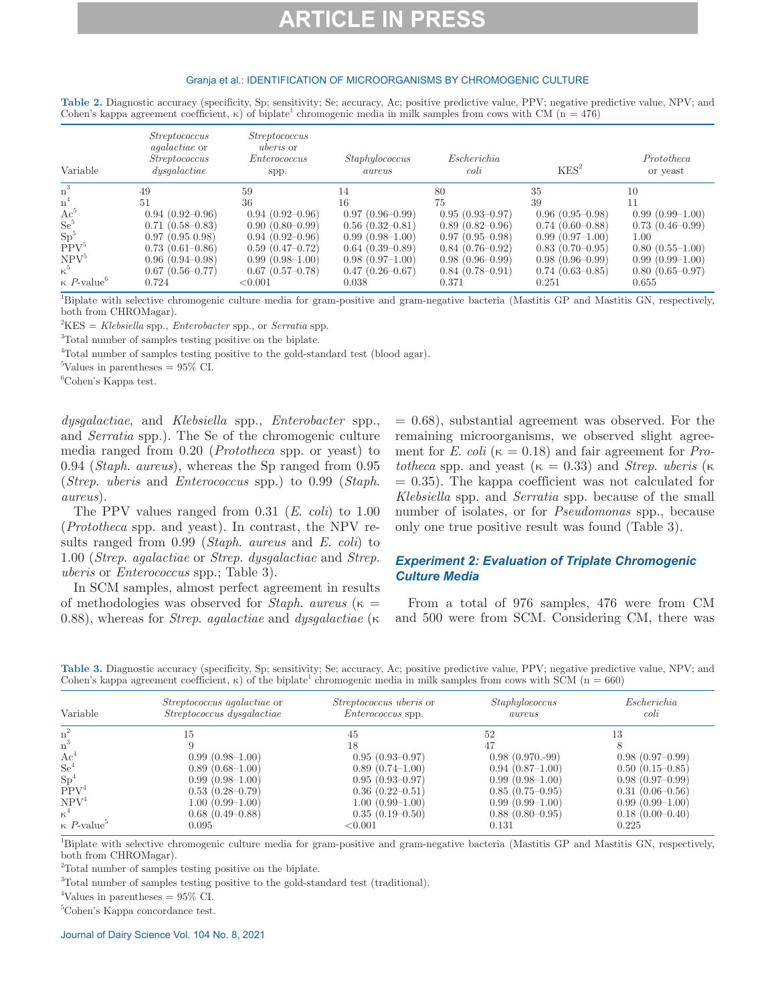### Granja et al.: IDENTIFICATION OF MICROORGANISMS BY CHROMOGENIC CULTURE

| Table 2. Diagnostic accuracy (specificity, Sp; sensitivity; Se; accuracy, Ac; positive predictive value, PPV; negative predictive value, NPV; and |  |
|---------------------------------------------------------------------------------------------------------------------------------------------------|--|
| Cohen's kappa agreement coefficient, $\kappa$ ) of biplate <sup>1</sup> chromogenic media in milk samples from cows with CM ( $n = 476$ )         |  |

| Variable                              | <i>Streptococcus</i><br><i>agalactiae</i> or<br><i>Streptococcus</i><br>dysqalactic | <i>Streptococcus</i><br><i>uberis</i> or<br>Enterococcus<br>spp. | Staphylococcus<br>aureus | Escherichia<br>$\coli$ | KES <sup>2</sup>  | Prototheca<br>or yeast |
|---------------------------------------|-------------------------------------------------------------------------------------|------------------------------------------------------------------|--------------------------|------------------------|-------------------|------------------------|
| $n^3$                                 | 49                                                                                  | 59                                                               | 14                       | 80                     | 35                | 10                     |
| $n^4$                                 | 51                                                                                  | 36                                                               | 16                       | 75                     | 39                |                        |
| $Ac^{\circ}$                          | $0.94(0.92-0.96)$                                                                   | $0.94(0.92-0.96)$                                                | $0.97(0.96-0.99)$        | $0.95(0.93-0.97)$      | $0.96(0.95-0.98)$ | $0.99(0.99-1.00)$      |
| $Se^5$                                | $0.71(0.58 - 0.83)$                                                                 | $0.90(0.80-0.99)$                                                | $0.56(0.32-0.81)$        | $0.89(0.82 - 0.96)$    | $0.74(0.60-0.88)$ | $0.73(0.46-0.99)$      |
| Sp <sup>5</sup>                       | 0.97(0.95, 0.98)                                                                    | $0.94(0.92-0.96)$                                                | $0.99(0.98-1.00)$        | $0.97(0.95-0.98)$      | $0.99(0.97-1.00)$ | 1.00                   |
| PPV <sup>5</sup>                      | $0.73(0.61-0.86)$                                                                   | $0.59(0.47-0.72)$                                                | $0.64(0.39-0.89)$        | $0.84(0.76-0.92)$      | $0.83(0.70-0.95)$ | $0.80(0.55-1.00)$      |
| NPV <sup>5</sup>                      | $0.96(0.94 - 0.98)$                                                                 | $0.99(0.98-1.00)$                                                | $0.98(0.97-1.00)$        | $0.98(0.96-0.99)$      | $0.98(0.96-0.99)$ | $0.99(0.99-1.00)$      |
| $\kappa^5$                            | $0.67(0.56-0.77)$                                                                   | $0.67(0.57-0.78)$                                                | $0.47(0.26 - 0.67)$      | $0.84(0.78-0.91)$      | $0.74(0.63-0.85)$ | $0.80(0.65 - 0.97)$    |
| $\kappa$ <i>P</i> -value <sup>b</sup> | 0.724                                                                               | < 0.001                                                          | 0.038                    | 0.371                  | 0.251             | 0.655                  |

1 Biplate with selective chromogenic culture media for gram-positive and gram-negative bacteria (Mastitis GP and Mastitis GN, respectively, both from CHROMagar).

2 KES = *Klebsiella* spp., *Enterobacter* spp., or *Serratia* spp.

<sup>3</sup>Total number of samples testing positive on the biplate.

<sup>4</sup>Total number of samples testing positive to the gold-standard test (blood agar).

 ${}^{5}\text{Values}$  in parentheses = 95\% CI.

6 Cohen's Kappa test.

*dysgalactiae*, and *Klebsiella* spp., *Enterobacter* spp., and *Serratia* spp.). The Se of the chromogenic culture media ranged from 0.20 (*Prototheca* spp. or yeast) to 0.94 (*Staph*. *aureus*), whereas the Sp ranged from 0.95 (*Strep*. *uberis* and *Enterococcus* spp.) to 0.99 (*Staph*. *aureus*).

The PPV values ranged from 0.31 (*E*. *coli*) to 1.00 (*Prototheca* spp. and yeast). In contrast, the NPV results ranged from 0.99 (*Staph*. *aureus* and *E*. *coli*) to 1.00 (*Strep*. *agalactiae* or *Strep*. *dysgalactiae* and *Strep*. *uberis* or *Enterococcus* spp.; Table 3).

In SCM samples, almost perfect agreement in results of methodologies was observed for *Staph*. *aureus* (κ = 0.88), whereas for *Strep*. *agalactiae* and *dysgalactiae* (κ

 $= 0.68$ , substantial agreement was observed. For the remaining microorganisms, we observed slight agreement for *E*. *coli* ( $\kappa = 0.18$ ) and fair agreement for *Prototheca* spp. and yeast ( $\kappa = 0.33$ ) and *Strep. uberis* ( $\kappa$  $= 0.35$ ). The kappa coefficient was not calculated for *Klebsiella* spp. and *Serratia* spp. because of the small number of isolates, or for *Pseudomonas* spp., because only one true positive result was found (Table 3).

## *Experiment 2: Evaluation of Triplate Chromogenic Culture Media*

From a total of 976 samples, 476 were from CM and 500 were from SCM. Considering CM, there was

**Table 3.** Diagnostic accuracy (specificity, Sp; sensitivity; Se; accuracy, Ac; positive predictive value, PPV; negative predictive value, NPV; and Cohen's kappa agreement coefficient,  $\kappa$ ) of the biplate<sup>1</sup> chromogenic media in milk samples from cows with SCM (n = 660)

| Variable                              | <i>Streptococcus agalactiae</i> or<br>Streptococcus dysgalactiae | <i>Streptococcus uberis</i> or<br><i>Enterococcus</i> spp. | Staphylococcus<br>aureus | Escherichia<br>$\coli$ |
|---------------------------------------|------------------------------------------------------------------|------------------------------------------------------------|--------------------------|------------------------|
| n.                                    | 15                                                               | 45                                                         | 52                       | 13                     |
| $n^3$                                 |                                                                  | 18                                                         |                          |                        |
| $Ac^4$                                | $0.99(0.98-1.00)$                                                | $0.95(0.93-0.97)$                                          | $0.98(0.970.-99)$        | $0.98(0.97-0.99)$      |
| $\mathrm{Se}^4$                       | $0.89(0.68-1.00)$                                                | $0.89(0.74-1.00)$                                          | $0.94(0.87-1.00)$        | $0.50(0.15-0.85)$      |
| Sp <sup>4</sup>                       | $0.99(0.98-1.00)$                                                | $0.95(0.93-0.97)$                                          | $0.99(0.98-1.00)$        | $0.98(0.97-0.99)$      |
| PPV <sup>4</sup>                      | $0.53(0.28 - 0.79)$                                              | $0.36(0.22 - 0.51)$                                        | $0.85(0.75-0.95)$        | $0.31(0.06-0.56)$      |
| NPV <sup>4</sup>                      | $1.00(0.99-1.00)$                                                | $1.00(0.99-1.00)$                                          | $0.99(0.99-1.00)$        | $0.99(0.99-1.00)$      |
| $\kappa^4$                            | $0.68(0.49-0.88)$                                                | $0.35(0.19-0.50)$                                          | $0.88(0.80-0.95)$        | $0.18(0.00-0.40)$      |
| $\kappa$ <i>P</i> -value <sup>5</sup> | 0.095                                                            | ${<}0.001$                                                 | 0.131                    | 0.225                  |

1 Biplate with selective chromogenic culture media for gram-positive and gram-negative bacteria (Mastitis GP and Mastitis GN, respectively, both from CHROMagar).

<sup>2</sup>Total number of samples testing positive on the biplate.

<sup>3</sup>Total number of samples testing positive to the gold-standard test (traditional).

<sup>4</sup>Values in parentheses =  $95\%$  CI.

5 Cohen's Kappa concordance test.

Journal of Dairy Science Vol. 104 No. 8, 2021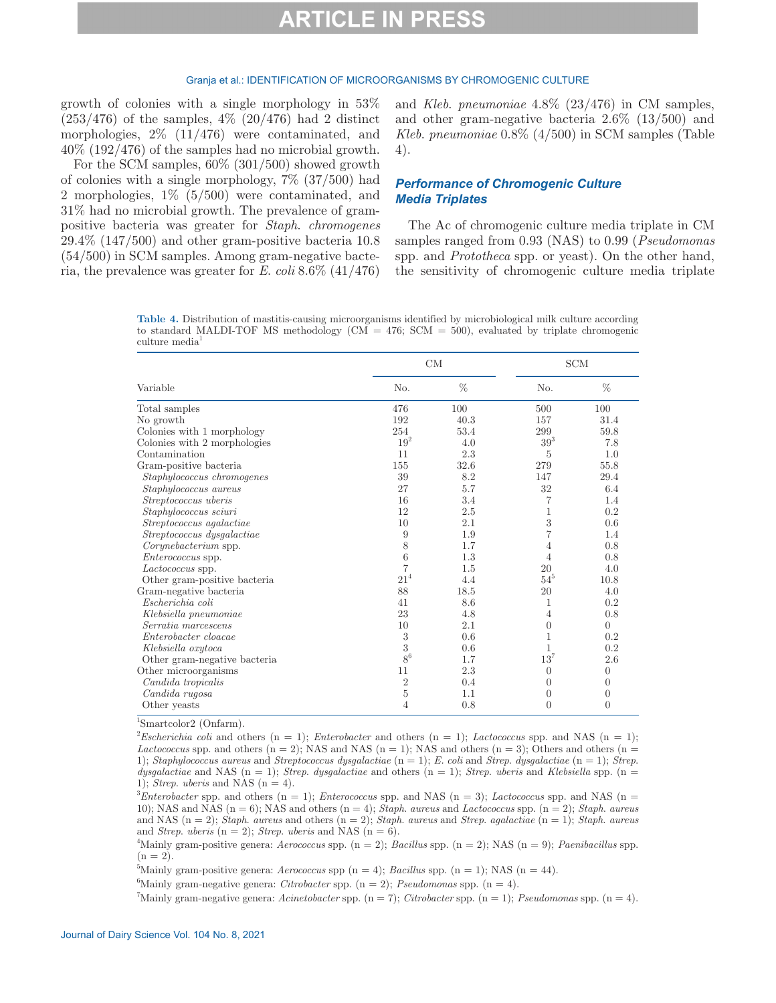#### Granja et al.: IDENTIFICATION OF MICROORGANISMS BY CHROMOGENIC CULTURE

growth of colonies with a single morphology in 53%  $(253/476)$  of the samples,  $4\%$   $(20/476)$  had 2 distinct morphologies, 2% (11/476) were contaminated, and 40% (192/476) of the samples had no microbial growth.

For the SCM samples, 60% (301/500) showed growth of colonies with a single morphology, 7% (37/500) had 2 morphologies, 1% (5/500) were contaminated, and 31% had no microbial growth. The prevalence of grampositive bacteria was greater for *Staph*. *chromogenes* 29.4% (147/500) and other gram-positive bacteria 10.8 (54/500) in SCM samples. Among gram-negative bacteria, the prevalence was greater for *E*. *coli* 8.6% (41/476) and *Kleb*. *pneumoniae* 4.8% (23/476) in CM samples, and other gram-negative bacteria 2.6% (13/500) and *Kleb*. *pneumoniae* 0.8% (4/500) in SCM samples (Table 4).

### *Performance of Chromogenic Culture Media Triplates*

The Ac of chromogenic culture media triplate in CM samples ranged from 0.93 (NAS) to 0.99 (*Pseudomonas* spp. and *Prototheca* spp. or yeast). On the other hand, the sensitivity of chromogenic culture media triplate

**Table 4.** Distribution of mastitis-causing microorganisms identified by microbiological milk culture according to standard MALDI-TOF MS methodology ( $CM = 476$ ;  $SCM = 500$ ), evaluated by triplate chromogenic culture media<sup>-</sup>

|                                                  |                | CM   | <b>SCM</b> |                |
|--------------------------------------------------|----------------|------|------------|----------------|
| Variable                                         | No.            | %    | No.        | %              |
| Total samples                                    | 476            | 100  | 500        | 100            |
| No growth                                        | 192            | 40.3 | 157        | 31.4           |
| Colonies with 1 morphology                       | 254            | 53.4 | 299        | 59.8           |
| Colonies with 2 morphologies                     | $19^2\,$       | 4.0  | $39^3$     | 7.8            |
| Contamination                                    | 11             | 2.3  | 5          | 1.0            |
| Gram-positive bacteria                           | 155            | 32.6 | 279        | 55.8           |
| Staphylococcus chromogenes                       | 39             | 8.2  | 147        | 29.4           |
| Staphylococcus aureus                            | 27             | 5.7  | 32         | 6.4            |
| Streptococcus uberis                             | 16             | 3.4  | 7          | 1.4            |
| Staphylococcus sciuri                            | 12             | 2.5  | 1          | 0.2            |
| Streptococcus agalactiae                         | 10             | 2.1  | 3          | 0.6            |
| Streptococcus dysgalactiae                       | 9              | 1.9  |            | 1.4            |
| Corynebacterium spp.                             | 8              | 1.7  | 4          | 0.8            |
| <i>Enterococcus</i> spp.                         | 6              | 1.3  | 4          | 0.8            |
| Lactococcus spp.                                 | $\overline{7}$ | 1.5  | 20         | 4.0            |
| Other gram-positive bacteria                     | $21^{4}$       | 4.4  | $54^{5}$   | 10.8           |
| Gram-negative bacteria                           | 88             | 18.5 | 20         | 4.0            |
| Escherichia coli                                 | 41             | 8.6  | 1          | 0.2            |
| $\label{thm:Klebsiella} Klebsiella \ pneumoniae$ | 23             | 4.8  | 4          | 0.8            |
| Serratia marcescens                              | 10             | 2.1  | $\theta$   | $\theta$       |
| Enterobacter cloacae                             | $\sqrt{3}$     | 0.6  | 1          | 0.2            |
| Klebsiella oxytoca                               | 3              | 0.6  |            | 0.2            |
| Other gram-negative bacteria                     | $8^6$          | 1.7  | $13^7$     | 2.6            |
| Other microorganisms                             | 11             | 2.3  | $\theta$   | $\overline{0}$ |
| Candida tropicalis                               | $\overline{2}$ | 0.4  | $\theta$   | $\overline{0}$ |
| Candida rugosa                                   | $\bf 5$        | 1.1  | $\theta$   | $\overline{0}$ |
| Other yeasts                                     | 4              | 0.8  | $\theta$   | $\theta$       |

1 Smartcolor2 (Onfarm).

*Escherichia coli* and others  $(n = 1)$ ; *Enterobacter* and others  $(n = 1)$ ; *Lactococcus* spp. and NAS  $(n = 1)$ ; *Lactococcus* spp. and others ( $n = 2$ ); NAS and NAS ( $n = 1$ ); NAS and others ( $n = 3$ ); Others and others ( $n = 1$ ) 1); *Staphylococcus aureus* and *Streptococcus dysgalactiae* (n = 1); *E. coli* and *Strep*. *dysgalactiae* (n = 1); *Strep*.  $dysgalactiae$  and NAS (n = 1); *Strep. dysgalactiae* and others (n = 1); *Strep. uberis* and *Klebsiella* spp. (n = 1); *Strep. uberis* and NAS ( $n = 4$ ).

 ${}^{3}$ *Enterobacter* spp. and others (n = 1); *Enterococcus* spp. and NAS (n = 3); *Lactococcus* spp. and NAS (n = 10); NAS and NAS (n = 6); NAS and others (n = 4); *Staph*. *aureus* and *Lactococcus* spp. (n = 2); *Staph*. *aureus* and NAS (n = 2); *Staph*. *aureus* and others (n = 2); *Staph*. *aureus* and *Strep*. *agalactiae* (n = 1); *Staph*. *aureus* and *Strep. uberis*  $(n = 2)$ ; *Strep. <i>uberis* and NAS  $(n = 6)$ .

<sup>4</sup>Mainly gram-positive genera: *Aerococcus* spp.  $(n = 2)$ ; *Bacillus* spp.  $(n = 2)$ ; *NAS*  $(n = 9)$ ; *Paenibacillus* spp.  $(n = 2)$ .

<sup>5</sup>Mainly gram-positive genera: *Aerococcus* spp (n = 4); *Bacillus* spp. (n = 1); NAS (n = 44).

<sup>6</sup>Mainly gram-negative genera: *Citrobacter* spp.  $(n = 2)$ ; *Pseudomonas* spp.  $(n = 4)$ .

7 Mainly gram-negative genera: *Acinetobacter* spp. (n = 7); *Citrobacter* spp. (n = 1); *Pseudomonas* spp. (n = 4).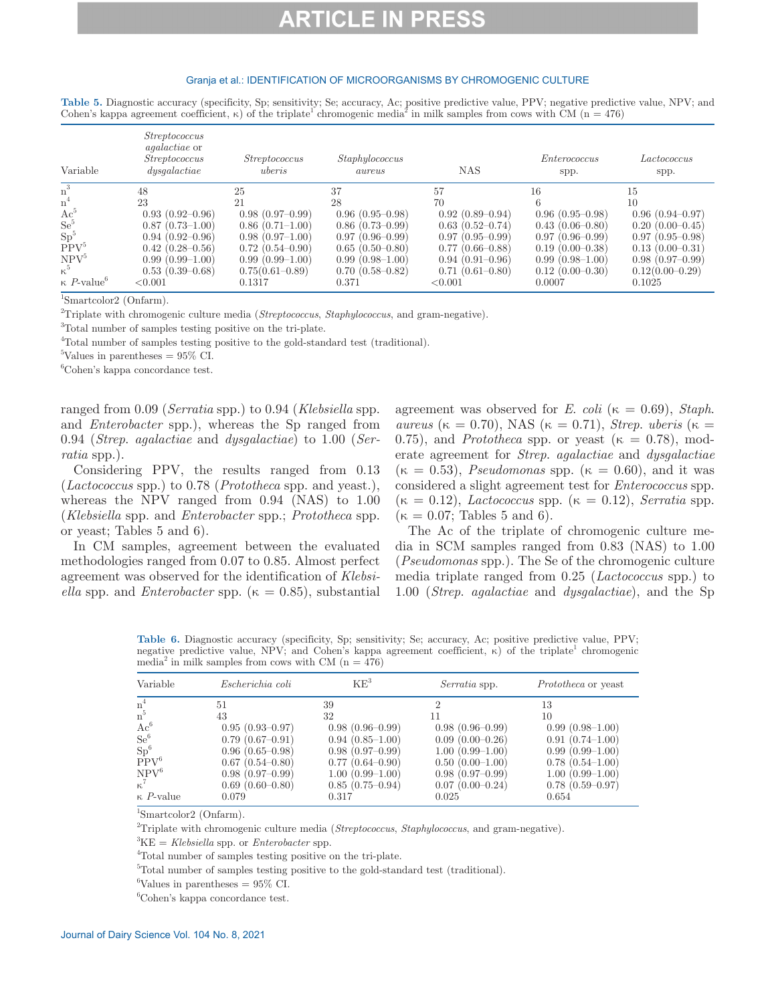### Granja et al.: IDENTIFICATION OF MICROORGANISMS BY CHROMOGENIC CULTURE

| Table 5. Diagnostic accuracy (specificity, Sp; sensitivity; Se; accuracy, Ac; positive predictive value, PPV; negative predictive value, NPV; and |  |  |
|---------------------------------------------------------------------------------------------------------------------------------------------------|--|--|
| Cohen's kappa agreement coefficient, $\kappa$ ) of the triplate chromogenic media <sup>2</sup> in milk samples from cows with CM (n = 476)        |  |  |

| Variable                              | <i>Streptococcus</i><br><i>agalactiae</i> or<br><i>Streptococcus</i><br>dysqalactic | <i>Streptococcus</i><br>uberis | Staphylococcus<br>aureus | <b>NAS</b>          | Enterococcus<br>spp. | Lactococcus<br>spp. |
|---------------------------------------|-------------------------------------------------------------------------------------|--------------------------------|--------------------------|---------------------|----------------------|---------------------|
| $n^3$                                 | 48                                                                                  | 25                             | 37                       | 57                  | 16                   | 15                  |
| n <sup>4</sup>                        | 23                                                                                  | 21                             | 28                       | 70                  |                      | 10                  |
| $Ac^{\flat}$                          | $0.93(0.92-0.96)$                                                                   | $0.98(0.97-0.99)$              | $0.96(0.95-0.98)$        | $0.92(0.89 - 0.94)$ | $0.96(0.95-0.98)$    | $0.96(0.94 - 0.97)$ |
| $\mathrm{Se}^5$                       | $0.87(0.73-1.00)$                                                                   | $0.86(0.71-1.00)$              | $0.86(0.73-0.99)$        | $0.63(0.52-0.74)$   | $0.43(0.06-0.80)$    | $0.20(0.00-0.45)$   |
| Sp <sup>5</sup>                       | $0.94(0.92-0.96)$                                                                   | $0.98(0.97-1.00)$              | $0.97(0.96-0.99)$        | $0.97(0.95-0.99)$   | $0.97(0.96-0.99)$    | $0.97(0.95-0.98)$   |
| PPV <sup>5</sup>                      | $0.42(0.28-0.56)$                                                                   | $0.72(0.54 - 0.90)$            | $0.65(0.50-0.80)$        | $0.77(0.66 - 0.88)$ | $0.19(0.00-0.38)$    | $0.13(0.00-0.31)$   |
| NPV <sup>5</sup>                      | $0.99(0.99-1.00)$                                                                   | $0.99(0.99-1.00)$              | $0.99(0.98-1.00)$        | $0.94(0.91-0.96)$   | $0.99(0.98-1.00)$    | $0.98(0.97-0.99)$   |
| $\kappa^{\rm b}$                      | $0.53(0.39-0.68)$                                                                   | $0.75(0.61 - 0.89)$            | $0.70(0.58 - 0.82)$      | $0.71(0.61 - 0.80)$ | $0.12(0.00-0.30)$    | $0.12(0.00-0.29)$   |
| $\kappa$ <i>P</i> -value <sup>6</sup> | < 0.001                                                                             | 0.1317                         | 0.371                    | < 0.001             | 0.0007               | 0.1025              |

1 Smartcolor2 (Onfarm).

2 Triplate with chromogenic culture media (*Streptococcus*, *Staphylococcus*, and gram-negative).

<sup>3</sup>Total number of samples testing positive on the tri-plate.

<sup>4</sup>Total number of samples testing positive to the gold-standard test (traditional).

 ${}^{5}\text{Values}$  in parentheses = 95\% CI.

6 Cohen's kappa concordance test.

ranged from 0.09 (*Serratia* spp.) to 0.94 (*Klebsiella* spp. and *Enterobacter* spp.), whereas the Sp ranged from 0.94 (*Strep*. *agalactiae* and *dysgalactiae*) to 1.00 (*Serratia* spp.).

Considering PPV, the results ranged from 0.13 (*Lactococcus* spp.) to 0.78 (*Prototheca* spp. and yeast.), whereas the NPV ranged from 0.94 (NAS) to 1.00 (*Klebsiella* spp. and *Enterobacter* spp.; *Prototheca* spp. or yeast; Tables 5 and 6).

In CM samples, agreement between the evaluated methodologies ranged from 0.07 to 0.85. Almost perfect agreement was observed for the identification of *Klebsiella* spp. and *Enterobacter* spp. ( $\kappa = 0.85$ ), substantial

agreement was observed for *E*. *coli* ( $\kappa = 0.69$ ), *Staph*. *aureus* (κ = 0.70), NAS (κ = 0.71), *Strep. uberis* (κ = 0.75), and *Prototheca* spp. or yeast ( $\kappa = 0.78$ ), moderate agreement for *Strep*. *agalactiae* and *dysgalactiae*  $(\kappa = 0.53)$ , *Pseudomonas* spp.  $(\kappa = 0.60)$ , and it was considered a slight agreement test for *Enterococcus* spp.  $(\kappa = 0.12)$ , *Lactococcus* spp.  $(\kappa = 0.12)$ , *Serratia* spp.  $(\kappa = 0.07;$  Tables 5 and 6).

The Ac of the triplate of chromogenic culture media in SCM samples ranged from 0.83 (NAS) to 1.00 (*Pseudomonas* spp.). The Se of the chromogenic culture media triplate ranged from 0.25 (*Lactococcus* spp.) to 1.00 (*Strep*. *agalactiae* and *dysgalactiae*), and the Sp

**Table 6.** Diagnostic accuracy (specificity, Sp; sensitivity; Se; accuracy, Ac; positive predictive value, PPV; negative predictive value, NPV; and Cohen's kappa agreement coefficient,  $\kappa$ ) of the triplate<sup>1</sup> chromogenic media<sup>2</sup> in milk samples from cows with CM ( $n = 476$ )

| Variable<br>Escherichia coli           | $\rm KE^{3}$        | <i>Serratia</i> spp. | <i>Prototheca</i> or yeast |
|----------------------------------------|---------------------|----------------------|----------------------------|
| $n^4$<br>51                            | 39                  |                      | 13                         |
| $n^5$<br>43                            | 32                  | 11                   | 10                         |
| $\mathrm{Ac}^6$<br>$0.95(0.93 - 0.97)$ | $0.98(0.96-0.99)$   | $0.98(0.96-0.99)$    | $0.99(0.98-1.00)$          |
| $\mathrm{Se}^6$<br>$0.79(0.67-0.91)$   | $0.94(0.85-1.00)$   | $0.09(0.00-0.26)$    | $0.91(0.74-1.00)$          |
| $\mathrm{Sp}^6$<br>$0.96(0.65-0.98)$   | $0.98(0.97-0.99)$   | $1.00(0.99-1.00)$    | $0.99(0.99-1.00)$          |
| $PPV^6$<br>$0.67(0.54 - 0.80)$         | $0.77(0.64 - 0.90)$ | $0.50(0.00-1.00)$    | $0.78(0.54-1.00)$          |
| $\mathrm{NPV}^6$<br>$0.98(0.97-0.99)$  | $1.00(0.99-1.00)$   | $0.98(0.97-0.99)$    | $1.00(0.99-1.00)$          |
| $\kappa^7$<br>$0.69(0.60-0.80)$        | $0.85(0.75-0.94)$   | $0.07(0.00-0.24)$    | $0.78(0.59 - 0.97)$        |
| $\kappa$ <i>P</i> -value<br>0.079      | 0.317               | 0.025                | 0.654                      |

1 Smartcolor2 (Onfarm).

2 Triplate with chromogenic culture media (*Streptococcus*, *Staphylococcus*, and gram-negative).

 ${}^{3}KE = Klebsiella$  spp. or *Enterobacter* spp.<br> ${}^{4}Teta$  number of complex testing positive of

Total number of samples testing positive on the tri-plate.

<sup>5</sup>Total number of samples testing positive to the gold-standard test (traditional).

 ${}^{6}\text{Values}$  in parentheses = 95\% CI.

6 Cohen's kappa concordance test.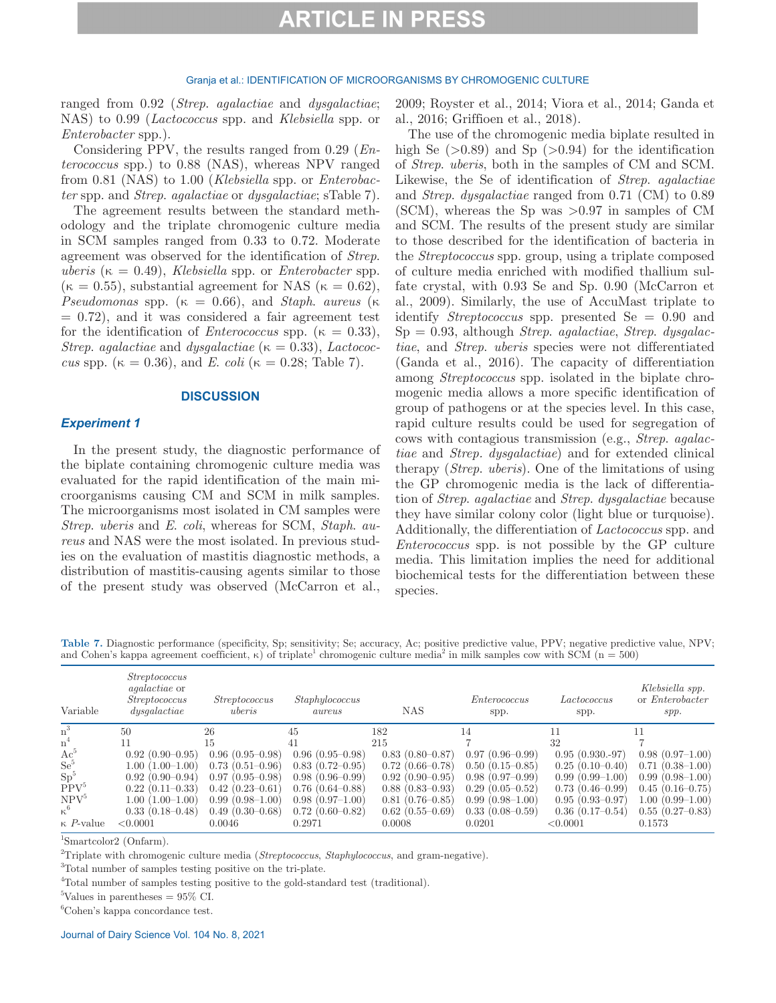#### Granja et al.: IDENTIFICATION OF MICROORGANISMS BY CHROMOGENIC CULTURE

ranged from 0.92 (*Strep*. *agalactiae* and *dysgalactiae*; NAS) to 0.99 (*Lactococcus* spp. and *Klebsiella* spp. or *Enterobacter* spp.).

Considering PPV, the results ranged from 0.29 (*Enterococcus* spp.) to 0.88 (NAS), whereas NPV ranged from 0.81 (NAS) to 1.00 (*Klebsiella* spp. or *Enterobacter* spp. and *Strep*. *agalactiae* or *dysgalactiae*; sTable 7).

The agreement results between the standard methodology and the triplate chromogenic culture media in SCM samples ranged from 0.33 to 0.72. Moderate agreement was observed for the identification of *Strep*.  $uberis$  ( $\kappa = 0.49$ ), *Klebsiella* spp. or *Enterobacter* spp.  $(\kappa = 0.55)$ , substantial agreement for NAS  $(\kappa = 0.62)$ , *Pseudomonas* spp. ( $\kappa = 0.66$ ), and *Staph. aureus* ( $\kappa$  $= 0.72$ , and it was considered a fair agreement test for the identification of *Enterococcus* spp. ( $\kappa = 0.33$ ), *Strep. agalactiae* and *dysgalactiae* ( $\kappa = 0.33$ ), *Lactococcus* spp. ( $\kappa = 0.36$ ), and *E. coli* ( $\kappa = 0.28$ ; Table 7).

### **DISCUSSION**

### *Experiment 1*

In the present study, the diagnostic performance of the biplate containing chromogenic culture media was evaluated for the rapid identification of the main microorganisms causing CM and SCM in milk samples. The microorganisms most isolated in CM samples were *Strep*. *uberis* and *E*. *coli*, whereas for SCM, *Staph*. *aureus* and NAS were the most isolated. In previous studies on the evaluation of mastitis diagnostic methods, a distribution of mastitis-causing agents similar to those of the present study was observed (McCarron et al., 2009; Royster et al., 2014; Viora et al., 2014; Ganda et al., 2016; Griffioen et al., 2018).

The use of the chromogenic media biplate resulted in high Se  $(>0.89)$  and Sp  $(>0.94)$  for the identification of *Strep*. *uberis*, both in the samples of CM and SCM. Likewise, the Se of identification of *Strep*. *agalactiae* and *Strep*. *dysgalactiae* ranged from 0.71 (CM) to 0.89  $(SCM)$ , whereas the Sp was  $>0.97$  in samples of CM and SCM. The results of the present study are similar to those described for the identification of bacteria in the *Streptococcus* spp. group, using a triplate composed of culture media enriched with modified thallium sulfate crystal, with 0.93 Se and Sp. 0.90 (McCarron et al., 2009). Similarly, the use of AccuMast triplate to identify *Streptococcus* spp. presented Se = 0.90 and Sp = 0.93, although *Strep*. *agalactiae*, *Strep*. *dysgalactiae*, and *Strep*. *uberis* species were not differentiated (Ganda et al., 2016). The capacity of differentiation among *Streptococcus* spp. isolated in the biplate chromogenic media allows a more specific identification of group of pathogens or at the species level. In this case, rapid culture results could be used for segregation of cows with contagious transmission (e.g., *Strep*. *agalactiae* and *Strep. dysgalactiae*) and for extended clinical therapy (*Strep*. *uberis*). One of the limitations of using the GP chromogenic media is the lack of differentiation of *Strep*. *agalactiae* and *Strep*. *dysgalactiae* because they have similar colony color (light blue or turquoise). Additionally, the differentiation of *Lactococcus* spp. and *Enterococcus* spp. is not possible by the GP culture media. This limitation implies the need for additional biochemical tests for the differentiation between these species.

**Table 7.** Diagnostic performance (specificity, Sp; sensitivity; Se; accuracy, Ac; positive predictive value, PPV; negative predictive value, NPV; and Cohen's kappa agreement coefficient,  $\kappa$ ) of triplate<sup>1</sup> chromogenic culture media<sup>2</sup> in milk samples cow with SCM (n = 500)

| Variable                 | <i>Streptococcus</i><br><i>agalactiae</i> or<br><i>Streptococcus</i><br>dysqalactic | <i>Streptococcus</i><br>uberis | Staphylococcus<br>aureus | <b>NAS</b>          | Enterococcus<br>spp. | Lactococcus<br>spp. | Klebsiella spp.<br>or <i>Enterobacter</i><br>spp. |
|--------------------------|-------------------------------------------------------------------------------------|--------------------------------|--------------------------|---------------------|----------------------|---------------------|---------------------------------------------------|
| $\rm n^3$                | 50                                                                                  | 26                             | 45                       | 182                 | 14                   | 11                  | 11                                                |
| n <sup>4</sup>           | 11                                                                                  | 15                             | 41                       | 215                 |                      | 32                  |                                                   |
| $Ac^{\flat}$             | $0.92(0.90-0.95)$                                                                   | $0.96(0.95-0.98)$              | $0.96(0.95-0.98)$        | $0.83(0.80 - 0.87)$ | $0.97(0.96-0.99)$    | $0.95(0.930.-97)$   | $0.98(0.97-1.00)$                                 |
| $Se^5$                   | $1.00(1.00-1.00)$                                                                   | $0.73(0.51-0.96)$              | $0.83(0.72-0.95)$        | $0.72(0.66 - 0.78)$ | $0.50(0.15-0.85)$    | $0.25(0.10-0.40)$   | $0.71(0.38-1.00)$                                 |
| Sp <sup>5</sup>          | $0.92(0.90-0.94)$                                                                   | $0.97(0.95-0.98)$              | $0.98(0.96-0.99)$        | $0.92(0.90-0.95)$   | $0.98(0.97-0.99)$    | $0.99(0.99-1.00)$   | $0.99(0.98-1.00)$                                 |
| PPV <sup>5</sup>         | $0.22(0.11-0.33)$                                                                   | $0.42(0.23-0.61)$              | $0.76(0.64 - 0.88)$      | $0.88(0.83-0.93)$   | $0.29(0.05-0.52)$    | $0.73(0.46-0.99)$   | $0.45(0.16-0.75)$                                 |
| NPV <sup>5</sup>         | $(1.00-1.00)$<br>1.00                                                               | $0.99(0.98-1.00)$              | $0.98(0.97-1.00)$        | $0.81(0.76-0.85)$   | $0.99(0.98-1.00)$    | $0.95(0.93-0.97)$   | $1.00(0.99-1.00)$                                 |
| $\kappa^6$               | $0.33(0.18 - 0.48)$                                                                 | $0.49(0.30-0.68)$              | $0.72(0.60-0.82)$        | $0.62(0.55-0.69)$   | $0.33(0.08-0.59)$    | $0.36(0.17-0.54)$   | $0.55(0.27-0.83)$                                 |
| $\kappa$ <i>P</i> -value | < 0.0001                                                                            | 0.0046                         | 0.2971                   | 0.0008              | 0.0201               | < 0.0001            | 0.1573                                            |

1 Smartcolor2 (Onfarm).

2 Triplate with chromogenic culture media (*Streptococcus*, *Staphylococcus*, and gram-negative).

3 Total number of samples testing positive on the tri-plate.

<sup>4</sup>Total number of samples testing positive to the gold-standard test (traditional).

 ${}^{5}\text{Values}$  in parentheses = 95\% CI.

6 Cohen's kappa concordance test.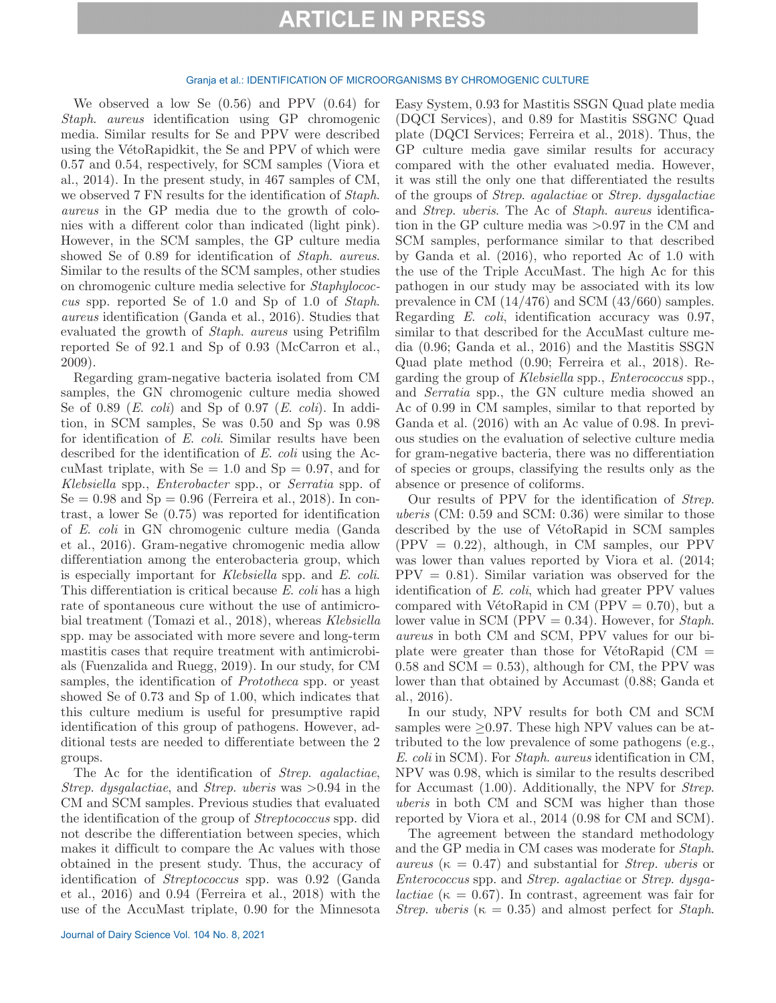#### Granja et al.: IDENTIFICATION OF MICROORGANISMS BY CHROMOGENIC CULTURE

We observed a low Se (0.56) and PPV (0.64) for *Staph*. *aureus* identification using GP chromogenic media. Similar results for Se and PPV were described using the VétoRapidkit, the Se and PPV of which were 0.57 and 0.54, respectively, for SCM samples (Viora et al., 2014). In the present study, in 467 samples of CM, we observed 7 FN results for the identification of *Staph*. *aureus* in the GP media due to the growth of colonies with a different color than indicated (light pink). However, in the SCM samples, the GP culture media showed Se of 0.89 for identification of *Staph*. *aureus*. Similar to the results of the SCM samples, other studies on chromogenic culture media selective for *Staphylococcus* spp. reported Se of 1.0 and Sp of 1.0 of *Staph*. *aureus* identification (Ganda et al., 2016). Studies that evaluated the growth of *Staph*. *aureus* using Petrifilm reported Se of 92.1 and Sp of 0.93 (McCarron et al., 2009).

Regarding gram-negative bacteria isolated from CM samples, the GN chromogenic culture media showed Se of 0.89 (*E*. *coli*) and Sp of 0.97 (*E*. *coli*). In addition, in SCM samples, Se was 0.50 and Sp was 0.98 for identification of *E*. *coli*. Similar results have been described for the identification of *E*. *coli* using the AccuMast triplate, with  $Se = 1.0$  and  $Sp = 0.97$ , and for *Klebsiella* spp., *Enterobacter* spp., or *Serratia* spp. of  $Se = 0.98$  and  $Sp = 0.96$  (Ferreira et al., 2018). In contrast, a lower Se (0.75) was reported for identification of *E*. *coli* in GN chromogenic culture media (Ganda et al., 2016). Gram-negative chromogenic media allow differentiation among the enterobacteria group, which is especially important for *Klebsiella* spp. and *E*. *coli*. This differentiation is critical because *E*. *coli* has a high rate of spontaneous cure without the use of antimicrobial treatment (Tomazi et al., 2018), whereas *Klebsiella* spp. may be associated with more severe and long-term mastitis cases that require treatment with antimicrobials (Fuenzalida and Ruegg, 2019). In our study, for CM samples, the identification of *Prototheca* spp. or yeast showed Se of 0.73 and Sp of 1.00, which indicates that this culture medium is useful for presumptive rapid identification of this group of pathogens. However, additional tests are needed to differentiate between the 2 groups.

The Ac for the identification of *Strep*. *agalactiae*, *Strep*. *dysgalactiae*, and *Strep*. *uberis* was >0.94 in the CM and SCM samples. Previous studies that evaluated the identification of the group of *Streptococcus* spp. did not describe the differentiation between species, which makes it difficult to compare the Ac values with those obtained in the present study. Thus, the accuracy of identification of *Streptococcus* spp. was 0.92 (Ganda et al., 2016) and 0.94 (Ferreira et al., 2018) with the use of the AccuMast triplate, 0.90 for the Minnesota

Easy System, 0.93 for Mastitis SSGN Quad plate media (DQCI Services), and 0.89 for Mastitis SSGNC Quad plate (DQCI Services; Ferreira et al., 2018). Thus, the GP culture media gave similar results for accuracy compared with the other evaluated media. However, it was still the only one that differentiated the results of the groups of *Strep*. *agalactiae* or *Strep. dysgalactiae* and *Strep*. *uberis*. The Ac of *Staph*. *aureus* identification in the GP culture media was >0.97 in the CM and SCM samples, performance similar to that described by Ganda et al. (2016), who reported Ac of 1.0 with the use of the Triple AccuMast. The high Ac for this pathogen in our study may be associated with its low prevalence in CM (14/476) and SCM (43/660) samples. Regarding *E*. *coli*, identification accuracy was 0.97, similar to that described for the AccuMast culture media (0.96; Ganda et al., 2016) and the Mastitis SSGN Quad plate method (0.90; Ferreira et al., 2018). Regarding the group of *Klebsiella* spp., *Enterococcus* spp., and *Serratia* spp., the GN culture media showed an Ac of 0.99 in CM samples, similar to that reported by Ganda et al. (2016) with an Ac value of 0.98. In previous studies on the evaluation of selective culture media for gram-negative bacteria, there was no differentiation of species or groups, classifying the results only as the absence or presence of coliforms.

Our results of PPV for the identification of *Strep*. *uberis* (CM: 0.59 and SCM: 0.36) were similar to those described by the use of VétoRapid in SCM samples  $(PPV = 0.22)$ , although, in CM samples, our PPV was lower than values reported by Viora et al. (2014;  $PPV = 0.81$ . Similar variation was observed for the identification of *E*. *coli*, which had greater PPV values compared with VétoRapid in CM ( $PPV = 0.70$ ), but a lower value in SCM (PPV = 0.34). However, for *Staph*. *aureus* in both CM and SCM, PPV values for our biplate were greater than those for VétoRapid  $\text{CM} =$  $0.58$  and SCM = 0.53), although for CM, the PPV was lower than that obtained by Accumast (0.88; Ganda et al., 2016).

In our study, NPV results for both CM and SCM samples were  $\geq$ 0.97. These high NPV values can be attributed to the low prevalence of some pathogens (e.g., *E*. *coli* in SCM). For *Staph*. *aureus* identification in CM, NPV was 0.98, which is similar to the results described for Accumast (1.00). Additionally, the NPV for *Strep*. *uberis* in both CM and SCM was higher than those reported by Viora et al., 2014 (0.98 for CM and SCM).

The agreement between the standard methodology and the GP media in CM cases was moderate for *Staph*.  $aureus$  ( $\kappa = 0.47$ ) and substantial for *Strep. uberis* or *Enterococcus* spp. and *Strep*. *agalactiae* or *Strep*. *dysgalactiae* ( $\kappa = 0.67$ ). In contrast, agreement was fair for *Strep. uberis* ( $\kappa = 0.35$ ) and almost perfect for *Staph*.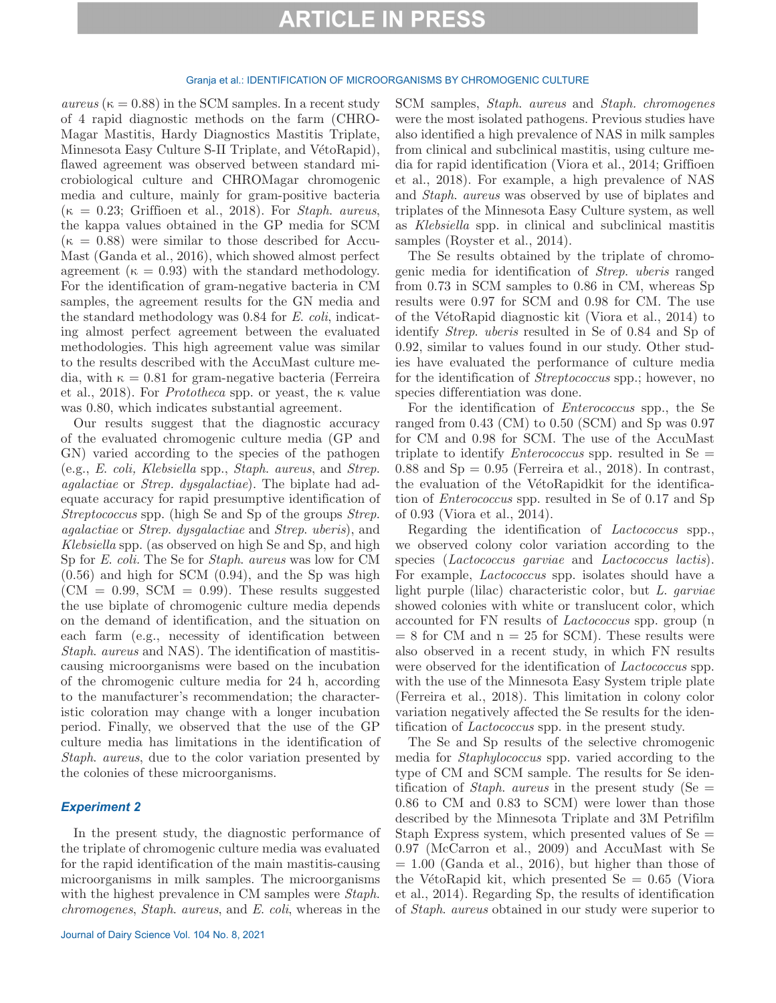#### Granja et al.: IDENTIFICATION OF MICROORGANISMS BY CHROMOGENIC CULTURE

 $aureus$  ( $\kappa = 0.88$ ) in the SCM samples. In a recent study of 4 rapid diagnostic methods on the farm (CHRO-Magar Mastitis, Hardy Diagnostics Mastitis Triplate, Minnesota Easy Culture S-II Triplate, and VétoRapid), flawed agreement was observed between standard microbiological culture and CHROMagar chromogenic media and culture, mainly for gram-positive bacteria (κ = 0.23; Griffioen et al., 2018). For *Staph*. *aureus*, the kappa values obtained in the GP media for SCM  $(\kappa = 0.88)$  were similar to those described for Accu-Mast (Ganda et al., 2016), which showed almost perfect agreement ( $\kappa = 0.93$ ) with the standard methodology. For the identification of gram-negative bacteria in CM samples, the agreement results for the GN media and the standard methodology was 0.84 for *E*. *coli*, indicating almost perfect agreement between the evaluated methodologies. This high agreement value was similar to the results described with the AccuMast culture media, with  $\kappa = 0.81$  for gram-negative bacteria (Ferreira et al., 2018). For *Prototheca* spp. or yeast, the κ value was 0.80, which indicates substantial agreement.

Our results suggest that the diagnostic accuracy of the evaluated chromogenic culture media (GP and GN) varied according to the species of the pathogen (e.g., *E*. *coli, Klebsiella* spp., *Staph*. *aureus*, and *Strep*. *agalactiae* or *Strep. dysgalactiae*). The biplate had adequate accuracy for rapid presumptive identification of *Streptococcus* spp. (high Se and Sp of the groups *Strep*. *agalactiae* or *Strep*. *dysgalactiae* and *Strep*. *uberis*), and *Klebsiella* spp. (as observed on high Se and Sp, and high Sp for *E*. *coli.* The Se for *Staph*. *aureus* was low for CM (0.56) and high for SCM (0.94), and the Sp was high  $(CM = 0.99, \text{SCM} = 0.99)$ . These results suggested the use biplate of chromogenic culture media depends on the demand of identification, and the situation on each farm (e.g., necessity of identification between *Staph*. *aureus* and NAS). The identification of mastitiscausing microorganisms were based on the incubation of the chromogenic culture media for 24 h, according to the manufacturer's recommendation; the characteristic coloration may change with a longer incubation period. Finally, we observed that the use of the GP culture media has limitations in the identification of *Staph*. *aureus*, due to the color variation presented by the colonies of these microorganisms.

### *Experiment 2*

In the present study, the diagnostic performance of the triplate of chromogenic culture media was evaluated for the rapid identification of the main mastitis-causing microorganisms in milk samples. The microorganisms with the highest prevalence in CM samples were *Staph*. *chromogenes*, *Staph*. *aureus*, and *E*. *coli*, whereas in the

SCM samples, *Staph*. *aureus* and *Staph. chromogenes* were the most isolated pathogens. Previous studies have also identified a high prevalence of NAS in milk samples from clinical and subclinical mastitis, using culture media for rapid identification (Viora et al., 2014; Griffioen et al., 2018). For example, a high prevalence of NAS and *Staph*. *aureus* was observed by use of biplates and triplates of the Minnesota Easy Culture system, as well as *Klebsiella* spp. in clinical and subclinical mastitis samples (Royster et al., 2014).

The Se results obtained by the triplate of chromogenic media for identification of *Strep*. *uberis* ranged from 0.73 in SCM samples to 0.86 in CM, whereas Sp results were 0.97 for SCM and 0.98 for CM. The use of the VétoRapid diagnostic kit (Viora et al., 2014) to identify *Strep*. *uberis* resulted in Se of 0.84 and Sp of 0.92, similar to values found in our study. Other studies have evaluated the performance of culture media for the identification of *Streptococcus* spp.; however, no species differentiation was done.

For the identification of *Enterococcus* spp., the Se ranged from 0.43 (CM) to 0.50 (SCM) and Sp was 0.97 for CM and 0.98 for SCM. The use of the AccuMast triplate to identify *Enterococcus* spp. resulted in Se =  $0.88$  and  $Sp = 0.95$  (Ferreira et al., 2018). In contrast, the evaluation of the VétoRapidkit for the identification of *Enterococcus* spp. resulted in Se of 0.17 and Sp of 0.93 (Viora et al., 2014).

Regarding the identification of *Lactococcus* spp., we observed colony color variation according to the species (*Lactococcus garviae* and *Lactococcus lactis*). For example, *Lactococcus* spp. isolates should have a light purple (lilac) characteristic color, but *L*. *garviae* showed colonies with white or translucent color, which accounted for FN results of *Lactococcus* spp. group (n  $= 8$  for CM and  $n = 25$  for SCM). These results were also observed in a recent study, in which FN results were observed for the identification of *Lactococcus* spp. with the use of the Minnesota Easy System triple plate (Ferreira et al., 2018). This limitation in colony color variation negatively affected the Se results for the identification of *Lactococcus* spp. in the present study.

The Se and Sp results of the selective chromogenic media for *Staphylococcus* spp. varied according to the type of CM and SCM sample. The results for Se identification of *Staph*. *aureus* in the present study (Se = 0.86 to CM and 0.83 to SCM) were lower than those described by the Minnesota Triplate and 3M Petrifilm Staph Express system, which presented values of  $Se =$ 0.97 (McCarron et al., 2009) and AccuMast with Se  $= 1.00$  (Ganda et al., 2016), but higher than those of the VétoRapid kit, which presented  $Se = 0.65$  (Viora et al., 2014). Regarding Sp, the results of identification of *Staph*. *aureus* obtained in our study were superior to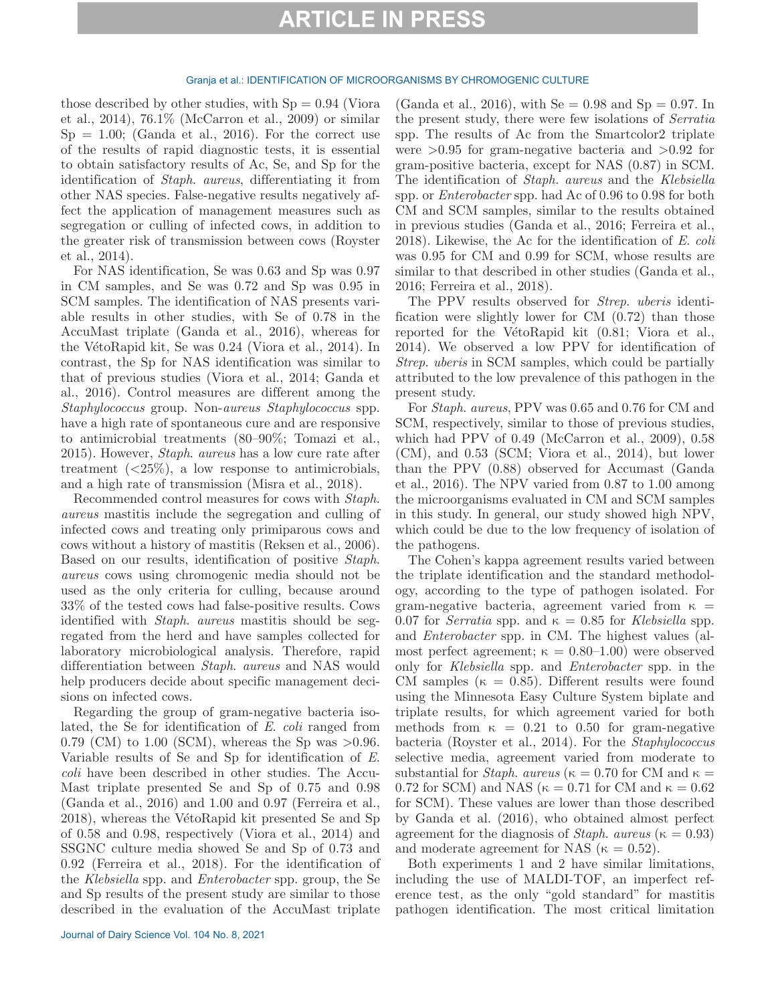#### Granja et al.: IDENTIFICATION OF MICROORGANISMS BY CHROMOGENIC CULTURE

those described by other studies, with  $Sp = 0.94$  (Viora et al., 2014), 76.1% (McCarron et al., 2009) or similar  $Sp = 1.00$ ; (Ganda et al., 2016). For the correct use of the results of rapid diagnostic tests, it is essential to obtain satisfactory results of Ac, Se, and Sp for the identification of *Staph*. *aureus*, differentiating it from other NAS species. False-negative results negatively affect the application of management measures such as segregation or culling of infected cows, in addition to the greater risk of transmission between cows (Royster et al., 2014).

For NAS identification, Se was 0.63 and Sp was 0.97 in CM samples, and Se was 0.72 and Sp was 0.95 in SCM samples. The identification of NAS presents variable results in other studies, with Se of 0.78 in the AccuMast triplate (Ganda et al., 2016), whereas for the VétoRapid kit, Se was 0.24 (Viora et al., 2014). In contrast, the Sp for NAS identification was similar to that of previous studies (Viora et al., 2014; Ganda et al., 2016). Control measures are different among the *Staphylococcus* group. Non-*aureus Staphylococcus* spp. have a high rate of spontaneous cure and are responsive to antimicrobial treatments (80–90%; Tomazi et al., 2015). However, *Staph*. *aureus* has a low cure rate after treatment  $\left( \langle 25\% \rangle \right)$ , a low response to antimicrobials, and a high rate of transmission (Misra et al., 2018).

Recommended control measures for cows with *Staph*. *aureus* mastitis include the segregation and culling of infected cows and treating only primiparous cows and cows without a history of mastitis (Reksen et al., 2006). Based on our results, identification of positive *Staph*. *aureus* cows using chromogenic media should not be used as the only criteria for culling, because around 33% of the tested cows had false-positive results. Cows identified with *Staph*. *aureus* mastitis should be segregated from the herd and have samples collected for laboratory microbiological analysis. Therefore, rapid differentiation between *Staph*. *aureus* and NAS would help producers decide about specific management decisions on infected cows.

Regarding the group of gram-negative bacteria isolated, the Se for identification of *E*. *coli* ranged from 0.79 (CM) to 1.00 (SCM), whereas the Sp was  $>0.96$ . Variable results of Se and Sp for identification of *E*. *coli* have been described in other studies. The Accu-Mast triplate presented Se and Sp of 0.75 and 0.98 (Ganda et al., 2016) and 1.00 and 0.97 (Ferreira et al., 2018), whereas the VétoRapid kit presented Se and Sp of 0.58 and 0.98, respectively (Viora et al., 2014) and SSGNC culture media showed Se and Sp of 0.73 and 0.92 (Ferreira et al., 2018). For the identification of the *Klebsiella* spp. and *Enterobacter* spp. group, the Se and Sp results of the present study are similar to those described in the evaluation of the AccuMast triplate

(Ganda et al., 2016), with  $Se = 0.98$  and  $Sp = 0.97$ . In the present study, there were few isolations of *Serratia* spp. The results of Ac from the Smartcolor2 triplate were  $>0.95$  for gram-negative bacteria and  $>0.92$  for gram-positive bacteria, except for NAS (0.87) in SCM. The identification of *Staph. aureus* and the *Klebsiella* spp. or *Enterobacter* spp. had Ac of 0.96 to 0.98 for both CM and SCM samples, similar to the results obtained in previous studies (Ganda et al., 2016; Ferreira et al., 2018). Likewise, the Ac for the identification of *E*. *coli* was 0.95 for CM and 0.99 for SCM, whose results are similar to that described in other studies (Ganda et al., 2016; Ferreira et al., 2018).

The PPV results observed for *Strep*. *uberis* identification were slightly lower for CM (0.72) than those reported for the VétoRapid kit (0.81; Viora et al., 2014). We observed a low PPV for identification of *Strep*. *uberis* in SCM samples, which could be partially attributed to the low prevalence of this pathogen in the present study.

For *Staph*. *aureus*, PPV was 0.65 and 0.76 for CM and SCM, respectively, similar to those of previous studies, which had PPV of 0.49 (McCarron et al., 2009), 0.58 (CM), and 0.53 (SCM; Viora et al., 2014), but lower than the PPV (0.88) observed for Accumast (Ganda et al., 2016). The NPV varied from 0.87 to 1.00 among the microorganisms evaluated in CM and SCM samples in this study. In general, our study showed high NPV, which could be due to the low frequency of isolation of the pathogens.

The Cohen's kappa agreement results varied between the triplate identification and the standard methodology, according to the type of pathogen isolated. For gram-negative bacteria, agreement varied from  $\kappa$  = 0.07 for *Serratia* spp. and  $\kappa = 0.85$  for *Klebsiella* spp. and *Enterobacter* spp. in CM. The highest values (almost perfect agreement;  $\kappa = 0.80{\text -}1.00$  were observed only for *Klebsiella* spp. and *Enterobacter* spp. in the CM samples ( $\kappa = 0.85$ ). Different results were found using the Minnesota Easy Culture System biplate and triplate results, for which agreement varied for both methods from  $\kappa = 0.21$  to 0.50 for gram-negative bacteria (Royster et al., 2014). For the *Staphylococcus* selective media, agreement varied from moderate to substantial for *Staph. aureus* ( $\kappa = 0.70$  for CM and  $\kappa =$ 0.72 for SCM) and NAS ( $\kappa = 0.71$  for CM and  $\kappa = 0.62$ for SCM). These values are lower than those described by Ganda et al. (2016), who obtained almost perfect agreement for the diagnosis of *Staph. aureus* ( $\kappa = 0.93$ ) and moderate agreement for NAS ( $\kappa = 0.52$ ).

Both experiments 1 and 2 have similar limitations, including the use of MALDI-TOF, an imperfect reference test, as the only "gold standard" for mastitis pathogen identification. The most critical limitation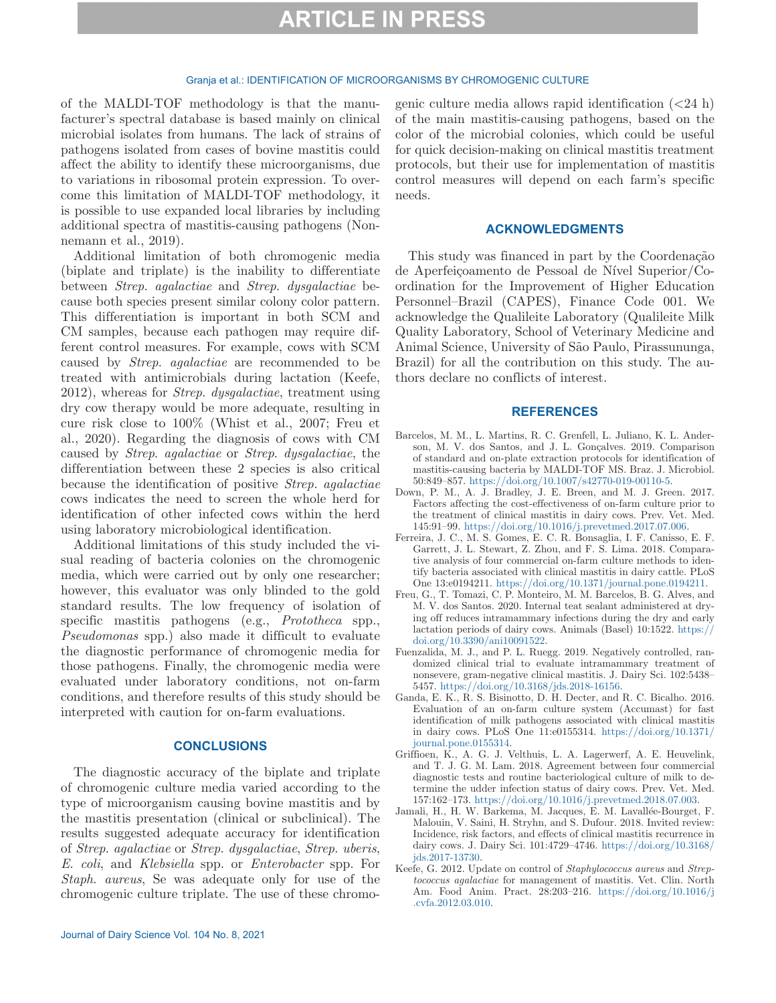#### Granja et al.: IDENTIFICATION OF MICROORGANISMS BY CHROMOGENIC CULTURE

of the MALDI-TOF methodology is that the manufacturer's spectral database is based mainly on clinical microbial isolates from humans. The lack of strains of pathogens isolated from cases of bovine mastitis could affect the ability to identify these microorganisms, due to variations in ribosomal protein expression. To overcome this limitation of MALDI-TOF methodology, it is possible to use expanded local libraries by including additional spectra of mastitis-causing pathogens (Nonnemann et al., 2019).

Additional limitation of both chromogenic media (biplate and triplate) is the inability to differentiate between *Strep*. *agalactiae* and *Strep*. *dysgalactiae* because both species present similar colony color pattern. This differentiation is important in both SCM and CM samples, because each pathogen may require different control measures. For example, cows with SCM caused by *Strep*. *agalactiae* are recommended to be treated with antimicrobials during lactation (Keefe, 2012), whereas for *Strep*. *dysgalactiae*, treatment using dry cow therapy would be more adequate, resulting in cure risk close to 100% (Whist et al., 2007; Freu et al., 2020). Regarding the diagnosis of cows with CM caused by *Strep*. *agalactiae* or *Strep*. *dysgalactiae*, the differentiation between these 2 species is also critical because the identification of positive *Strep. agalactiae* cows indicates the need to screen the whole herd for identification of other infected cows within the herd using laboratory microbiological identification.

Additional limitations of this study included the visual reading of bacteria colonies on the chromogenic media, which were carried out by only one researcher; however, this evaluator was only blinded to the gold standard results. The low frequency of isolation of specific mastitis pathogens (e.g., *Prototheca* spp., *Pseudomonas* spp.) also made it difficult to evaluate the diagnostic performance of chromogenic media for those pathogens. Finally, the chromogenic media were evaluated under laboratory conditions, not on-farm conditions, and therefore results of this study should be interpreted with caution for on-farm evaluations.

### **CONCLUSIONS**

The diagnostic accuracy of the biplate and triplate of chromogenic culture media varied according to the type of microorganism causing bovine mastitis and by the mastitis presentation (clinical or subclinical). The results suggested adequate accuracy for identification of *Strep*. *agalactiae* or *Strep*. *dysgalactiae*, *Strep*. *uberis*, *E*. *coli*, and *Klebsiella* spp. or *Enterobacter* spp. For *Staph*. *aureus*, Se was adequate only for use of the chromogenic culture triplate. The use of these chromogenic culture media allows rapid identification  $\left( < 24 \right)$ of the main mastitis-causing pathogens, based on the color of the microbial colonies, which could be useful for quick decision-making on clinical mastitis treatment protocols, but their use for implementation of mastitis control measures will depend on each farm's specific needs.

### **ACKNOWLEDGMENTS**

This study was financed in part by the Coordenação de Aperfeiçoamento de Pessoal de Nível Superior/Coordination for the Improvement of Higher Education Personnel–Brazil (CAPES), Finance Code 001. We acknowledge the Qualileite Laboratory (Qualileite Milk Quality Laboratory, School of Veterinary Medicine and Animal Science, University of São Paulo, Pirassununga, Brazil) for all the contribution on this study. The authors declare no conflicts of interest.

### **REFERENCES**

- Barcelos, M. M., L. Martins, R. C. Grenfell, L. Juliano, K. L. Anderson, M. V. dos Santos, and J. L. Gonçalves. 2019. Comparison of standard and on-plate extraction protocols for identification of mastitis-causing bacteria by MALDI-TOF MS. Braz. J. Microbiol. 50:849–857. [https://doi.org/10.1007/s42770-019-00110-5.](https://doi.org/10.1007/s42770-019-00110-5)
- Down, P. M., A. J. Bradley, J. E. Breen, and M. J. Green. 2017. Factors affecting the cost-effectiveness of on-farm culture prior to the treatment of clinical mastitis in dairy cows. Prev. Vet. Med. 145:91–99. [https://doi.org/10.1016/j.prevetmed.2017.07.006.](https://doi.org/10.1016/j.prevetmed.2017.07.006)
- Ferreira, J. C., M. S. Gomes, E. C. R. Bonsaglia, I. F. Canisso, E. F. Garrett, J. L. Stewart, Z. Zhou, and F. S. Lima. 2018. Comparative analysis of four commercial on-farm culture methods to identify bacteria associated with clinical mastitis in dairy cattle. PLoS One 13:e0194211. [https://doi.org/10.1371/journal.pone.0194211.](https://doi.org/10.1371/journal.pone.0194211)
- Freu, G., T. Tomazi, C. P. Monteiro, M. M. Barcelos, B. G. Alves, and M. V. dos Santos. 2020. Internal teat sealant administered at drying off reduces intramammary infections during the dry and early lactation periods of dairy cows. Animals (Basel) 10:1522. [https://](https://doi.org/10.3390/ani10091522) [doi.org/10.3390/ani10091522](https://doi.org/10.3390/ani10091522).
- Fuenzalida, M. J., and P. L. Ruegg. 2019. Negatively controlled, randomized clinical trial to evaluate intramammary treatment of nonsevere, gram-negative clinical mastitis. J. Dairy Sci. 102:5438– 5457. <https://doi.org/10.3168/jds.2018-16156>.
- Ganda, E. K., R. S. Bisinotto, D. H. Decter, and R. C. Bicalho. 2016. Evaluation of an on-farm culture system (Accumast) for fast identification of milk pathogens associated with clinical mastitis in dairy cows. PLoS One 11:e0155314. [https://doi.org/10.1371/](https://doi.org/10.1371/journal.pone.0155314) [journal.pone.0155314](https://doi.org/10.1371/journal.pone.0155314).
- Griffioen, K., A. G. J. Velthuis, L. A. Lagerwerf, A. E. Heuvelink, and T. J. G. M. Lam. 2018. Agreement between four commercial diagnostic tests and routine bacteriological culture of milk to determine the udder infection status of dairy cows. Prev. Vet. Med. 157:162–173. <https://doi.org/10.1016/j.prevetmed.2018.07.003>.
- Jamali, H., H. W. Barkema, M. Jacques, E. M. Lavallée-Bourget, F. Malouin, V. Saini, H. Stryhn, and S. Dufour. 2018. Invited review: Incidence, risk factors, and effects of clinical mastitis recurrence in dairy cows. J. Dairy Sci. 101:4729–4746. [https://doi.org/10.3168/](https://doi.org/10.3168/jds.2017-13730) [jds.2017-13730.](https://doi.org/10.3168/jds.2017-13730)
- Keefe, G. 2012. Update on control of *Staphylococcus aureus* and *Streptococcus agalactiae* for management of mastitis. Vet. Clin. North Am. Food Anim. Pract. 28:203–216. [https://doi.org/10.1016/j](https://doi.org/10.1016/j.cvfa.2012.03.010) [.cvfa.2012.03.010.](https://doi.org/10.1016/j.cvfa.2012.03.010)